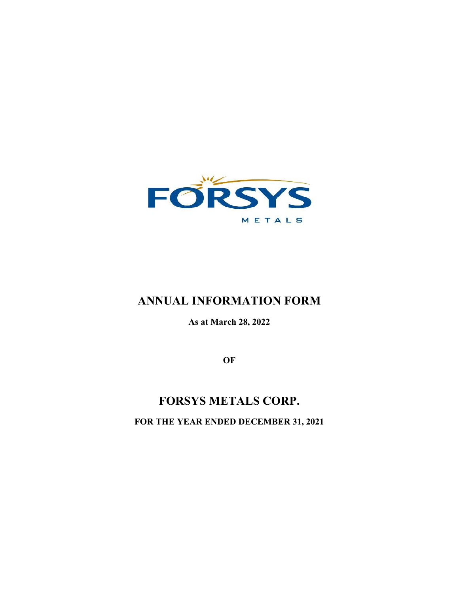

# **ANNUAL INFORMATION FORM**

**As at March 28, 2022** 

**OF**

# **FORSYS METALS CORP. FOR THE YEAR ENDED DECEMBER 31, 2021**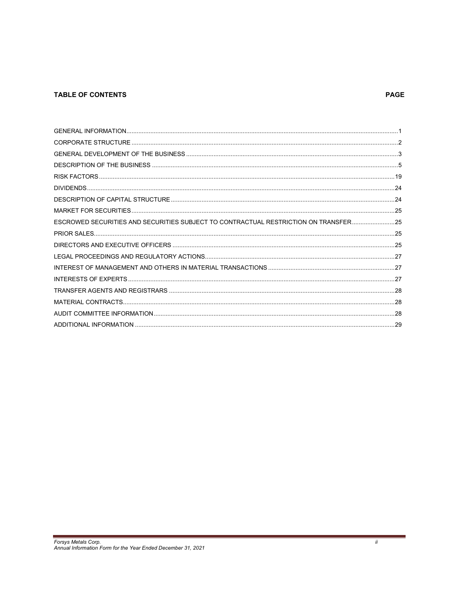# **TABLE OF CONTENTS**

# **PAGE**

 $\ddot{\textit{II}}$ 

| ESCROWED SECURITIES AND SECURITIES SUBJECT TO CONTRACTUAL RESTRICTION ON TRANSFER25 |  |
|-------------------------------------------------------------------------------------|--|
|                                                                                     |  |
|                                                                                     |  |
|                                                                                     |  |
|                                                                                     |  |
|                                                                                     |  |
|                                                                                     |  |
|                                                                                     |  |
|                                                                                     |  |
|                                                                                     |  |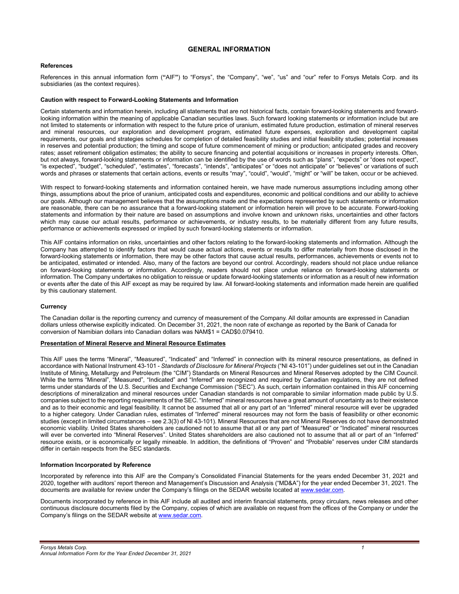# **GENERAL INFORMATION**

# **References**

References in this annual information form (**"**AIF**"**) to "Forsys", the "Company", "we", "us" and "our" refer to Forsys Metals Corp. and its subsidiaries (as the context requires).

# **Caution with respect to Forward-Looking Statements and Information**

Certain statements and information herein, including all statements that are not historical facts, contain forward-looking statements and forwardlooking information within the meaning of applicable Canadian securities laws. Such forward looking statements or information include but are not limited to statements or information with respect to the future price of uranium, estimated future production, estimation of mineral reserves and mineral resources, our exploration and development program, estimated future expenses, exploration and development capital requirements, our goals and strategies schedules for completion of detailed feasibility studies and initial feasibility studies; potential increases in reserves and potential production; the timing and scope of future commencement of mining or production; anticipated grades and recovery rates; asset retirement obligation estimates; the ability to secure financing and potential acquisitions or increases in property interests. Often, but not always, forward-looking statements or information can be identified by the use of words such as "plans", "expects" or "does not expect", "is expected", "budget", "scheduled", "estimates", "forecasts", "intends", "anticipates" or "does not anticipate" or "believes" or variations of such words and phrases or statements that certain actions, events or results "may", "could", "would", "might" or "will" be taken, occur or be achieved.

With respect to forward-looking statements and information contained herein, we have made numerous assumptions including among other things, assumptions about the price of uranium, anticipated costs and expenditures, economic and political conditions and our ability to achieve our goals. Although our management believes that the assumptions made and the expectations represented by such statements or information are reasonable, there can be no assurance that a forward-looking statement or information herein will prove to be accurate. Forward-looking statements and information by their nature are based on assumptions and involve known and unknown risks, uncertainties and other factors which may cause our actual results, performance or achievements, or industry results, to be materially different from any future results, performance or achievements expressed or implied by such forward-looking statements or information.

This AIF contains information on risks, uncertainties and other factors relating to the forward-looking statements and information. Although the Company has attempted to identify factors that would cause actual actions, events or results to differ materially from those disclosed in the forward-looking statements or information, there may be other factors that cause actual results, performances, achievements or events not to be anticipated, estimated or intended. Also, many of the factors are beyond our control. Accordingly, readers should not place undue reliance on forward-looking statements or information. Accordingly, readers should not place undue reliance on forward-looking statements or information. The Company undertakes no obligation to reissue or update forward-looking statements or information as a result of new information or events after the date of this AIF except as may be required by law. All forward-looking statements and information made herein are qualified by this cautionary statement.

# **Currency**

The Canadian dollar is the reporting currency and currency of measurement of the Company. All dollar amounts are expressed in Canadian dollars unless otherwise explicitly indicated. On December 31, 2021, the noon rate of exchange as reported by the Bank of Canada for conversion of Namibian dollars into Canadian dollars was NAM\$1 = CAD\$0.079410.

# **Presentation of Mineral Reserve and Mineral Resource Estimates**

This AIF uses the terms "Mineral", "Measured", "Indicated" and "Inferred" in connection with its mineral resource presentations, as defined in accordance with National Instrument 43-101 - *Standards of Disclosure for Mineral Projects* ("NI 43-101") under guidelines set out in the Canadian Institute of Mining, Metallurgy and Petroleum (the "CIM") Standards on Mineral Resources and Mineral Reserves adopted by the CIM Council. While the terms "Mineral", "Measured", "Indicated" and "Inferred" are recognized and required by Canadian regulations, they are not defined terms under standards of the U.S. Securities and Exchange Commission ("SEC"). As such, certain information contained in this AIF concerning descriptions of mineralization and mineral resources under Canadian standards is not comparable to similar information made public by U.S. companies subject to the reporting requirements of the SEC. "Inferred" mineral resources have a great amount of uncertainty as to their existence and as to their economic and legal feasibility. It cannot be assumed that all or any part of an "Inferred" mineral resource will ever be upgraded to a higher category. Under Canadian rules, estimates of "Inferred" mineral resources may not form the basis of feasibility or other economic studies (except in limited circumstances – see 2.3(3) of NI 43-101). Mineral Resources that are not Mineral Reserves do not have demonstrated economic viability. United States shareholders are cautioned not to assume that all or any part of "Measured" or "Indicated" mineral resources will ever be converted into "Mineral Reserves". United States shareholders are also cautioned not to assume that all or part of an "Inferred" resource exists, or is economically or legally mineable. In addition, the definitions of "Proven" and "Probable" reserves under CIM standards differ in certain respects from the SEC standards.

#### **Information Incorporated by Reference**

Incorporated by reference into this AIF are the Company's Consolidated Financial Statements for the years ended December 31, 2021 and 2020, together with auditors' report thereon and Management's Discussion and Analysis ("MD&A") for the year ended December 31, 2021. The documents are available for review under the Company's filings on the SEDAR website located at www.sedar.com.

Documents incorporated by reference in this AIF include all audited and interim financial statements, proxy circulars, news releases and other continuous disclosure documents filed by the Company, copies of which are available on request from the offices of the Company or under the Company's filings on the SEDAR website at www.sedar.com.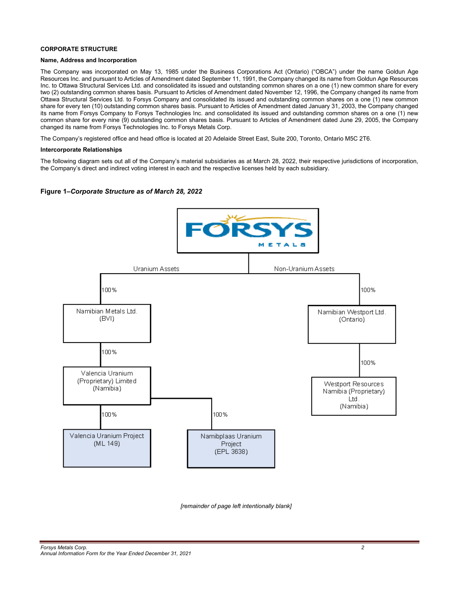# **CORPORATE STRUCTURE**

# **Name, Address and Incorporation**

The Company was incorporated on May 13, 1985 under the Business Corporations Act (Ontario) ("OBCA") under the name Goldun Age Resources Inc. and pursuant to Articles of Amendment dated September 11, 1991, the Company changed its name from Goldun Age Resources Inc. to Ottawa Structural Services Ltd. and consolidated its issued and outstanding common shares on a one (1) new common share for every two (2) outstanding common shares basis. Pursuant to Articles of Amendment dated November 12, 1996, the Company changed its name from Ottawa Structural Services Ltd. to Forsys Company and consolidated its issued and outstanding common shares on a one (1) new common share for every ten (10) outstanding common shares basis. Pursuant to Articles of Amendment dated January 31, 2003, the Company changed its name from Forsys Company to Forsys Technologies Inc. and consolidated its issued and outstanding common shares on a one (1) new common share for every nine (9) outstanding common shares basis. Pursuant to Articles of Amendment dated June 29, 2005, the Company changed its name from Forsys Technologies Inc. to Forsys Metals Corp.

The Company's registered office and head office is located at 20 Adelaide Street East, Suite 200, Toronto, Ontario M5C 2T6.

# **Intercorporate Relationships**

The following diagram sets out all of the Company's material subsidiaries as at March 28, 2022, their respective jurisdictions of incorporation, the Company's direct and indirect voting interest in each and the respective licenses held by each subsidiary.

# **Figure 1–***Corporate Structure as of March 28, 2022*



*[remainder of page left intentionally blank]*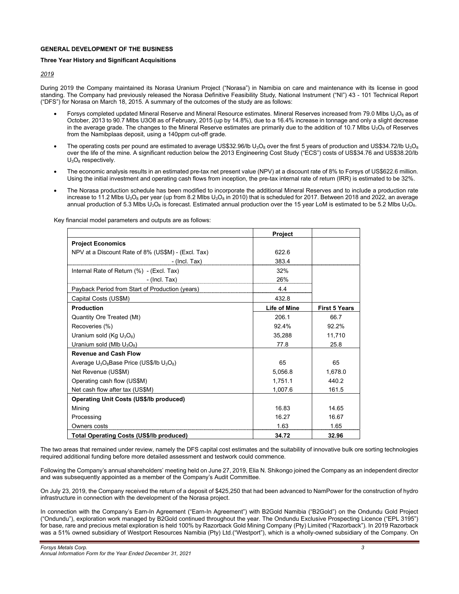# **GENERAL DEVELOPMENT OF THE BUSINESS**

# **Three Year History and Significant Acquisitions**

*2019*

During 2019 the Company maintained its Norasa Uranium Project ("Norasa") in Namibia on care and maintenance with its license in good standing. The Company had previously released the Norasa Definitive Feasibility Study, National Instrument ("NI") 43 - 101 Technical Report ("DFS") for Norasa on March 18, 2015. A summary of the outcomes of the study are as follows:

- Forsys completed updated Mineral Reserve and Mineral Resource estimates. Mineral Reserves increased from 79.0 Mlbs U<sub>3</sub>O<sub>8</sub> as of October, 2013 to 90.7 Mlbs U3O8 as of February, 2015 (up by 14.8%), due to a 16.4% increase in tonnage and only a slight decrease in the average grade. The changes to the Mineral Reserve estimates are primarily due to the addition of 10.7 Mlbs  $U_3O_8$  of Reserves from the Namibplaas deposit, using a 140ppm cut-off grade.
- The operating costs per pound are estimated to average US\$32.96/lb  $U_3O_8$  over the first 5 years of production and US\$34.72/lb  $U_3O_8$ over the life of the mine. A significant reduction below the 2013 Engineering Cost Study ("ECS") costs of US\$34.76 and US\$38.20/lb  $U_3O_8$  respectively.
- The economic analysis results in an estimated pre-tax net present value (NPV) at a discount rate of 8% to Forsys of US\$622.6 million. Using the initial investment and operating cash flows from inception, the pre-tax internal rate of return (IRR) is estimated to be 32%.
- The Norasa production schedule has been modified to incorporate the additional Mineral Reserves and to include a production rate increase to 11.2 Mlbs U<sub>3</sub>O<sub>8</sub> per year (up from 8.2 Mlbs U<sub>3</sub>O<sub>8</sub> in 2010) that is scheduled for 2017. Between 2018 and 2022, an average annual production of 5.3 Mlbs  $U_3O_8$  is forecast. Estimated annual production over the 15 year LoM is estimated to be 5.2 Mlbs  $U_3O_8$ .

|                                                    | <b>Project</b>      |                      |
|----------------------------------------------------|---------------------|----------------------|
| <b>Project Economics</b>                           |                     |                      |
| NPV at a Discount Rate of 8% (US\$M) - (Excl. Tax) | 622.6               |                      |
| - (Incl. Tax)                                      | 383.4               |                      |
| Internal Rate of Return (%) - (Excl. Tax)          | 32%                 |                      |
| $-$ (Incl. Tax)                                    | 26%                 |                      |
| Payback Period from Start of Production (years)    | 4.4                 |                      |
| Capital Costs (US\$M)                              | 432.8               |                      |
| <b>Production</b>                                  | <b>Life of Mine</b> | <b>First 5 Years</b> |
| Quantity Ore Treated (Mt)                          | 206.1               | 66.7                 |
| Recoveries (%)                                     | 92.4%               | 92.2%                |
| Uranium sold (Kg U <sub>3</sub> O <sub>8</sub> )   | 35,288              | 11,710               |
| Uranium sold (MIb $U_3O_8$ )                       | 77.8                | 25.8                 |
| <b>Revenue and Cash Flow</b>                       |                     |                      |
| Average $U_3O_8$ Base Price (US\$/lb $U_3O_8$ )    | 65                  | 65                   |
| Net Revenue (US\$M)                                | 5,056.8             | 1,678.0              |
| Operating cash flow (US\$M)                        | 1,751.1             | 440.2                |
| Net cash flow after tax (US\$M)                    | 1,007.6             | 161.5                |
| <b>Operating Unit Costs (US\$/Ib produced)</b>     |                     |                      |
| Mining                                             | 16.83               | 14.65                |
| Processing                                         | 16 27               | 16.67                |
| Owners costs                                       | 1.63                | 1.65                 |
| <b>Total Operating Costs (US\$/lb produced)</b>    | 34.72               | 32.96                |

Key financial model parameters and outputs are as follows:

The two areas that remained under review, namely the DFS capital cost estimates and the suitability of innovative bulk ore sorting technologies required additional funding before more detailed assessment and testwork could commence.

Following the Company's annual shareholders' meeting held on June 27, 2019, Elia N. Shikongo joined the Company as an independent director and was subsequently appointed as a member of the Company's Audit Committee.

On July 23, 2019, the Company received the return of a deposit of \$425,250 that had been advanced to NamPower for the construction of hydro infrastructure in connection with the development of the Norasa project.

In connection with the Company's Earn-In Agreement ("Earn-In Agreement") with B2Gold Namibia ("B2Gold") on the Ondundu Gold Project ("Ondundu"), exploration work managed by B2Gold continued throughout the year. The Ondundu Exclusive Prospecting Licence ("EPL 3195") for base, rare and precious metal exploration is held 100% by Razorback Gold Mining Company (Pty) Limited ("Razorback"). In 2019 Razorback was a 51% owned subsidiary of Westport Resources Namibia (Pty) Ltd.("Westport"), which is a wholly-owned subsidiary of the Company. On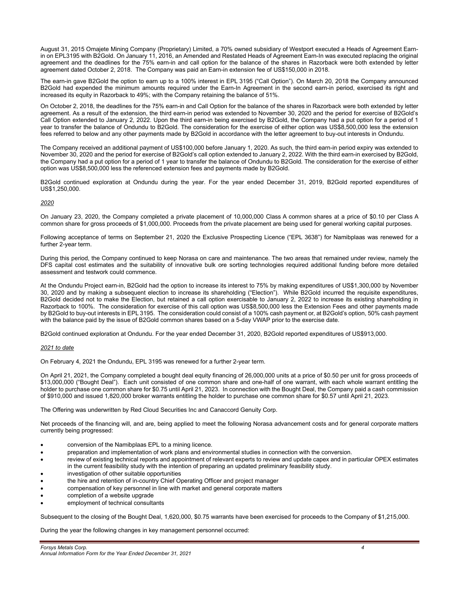August 31, 2015 Omajete Mining Company (Proprietary) Limited, a 70% owned subsidiary of Westport executed a Heads of Agreement Earnin on EPL3195 with B2Gold. On January 11, 2016, an Amended and Restated Heads of Agreement Earn-In was executed replacing the original agreement and the deadlines for the 75% earn-in and call option for the balance of the shares in Razorback were both extended by letter agreement dated October 2, 2018. The Company was paid an Earn-in extension fee of US\$150,000 in 2018.

The earn-in gave B2Gold the option to earn up to a 100% interest in EPL 3195 ("Call Option"). On March 20, 2018 the Company announced B2Gold had expended the minimum amounts required under the Earn-In Agreement in the second earn-in period, exercised its right and increased its equity in Razorback to 49%; with the Company retaining the balance of 51%.

On October 2, 2018, the deadlines for the 75% earn-in and Call Option for the balance of the shares in Razorback were both extended by letter agreement. As a result of the extension, the third earn-in period was extended to November 30, 2020 and the period for exercise of B2Gold's Call Option extended to January 2, 2022. Upon the third earn-in being exercised by B2Gold, the Company had a put option for a period of 1 year to transfer the balance of Ondundu to B2Gold. The consideration for the exercise of either option was US\$8,500,000 less the extension fees referred to below and any other payments made by B2Gold in accordance with the letter agreement to buy-out interests in Ondundu.

The Company received an additional payment of US\$100,000 before January 1, 2020. As such, the third earn-in period expiry was extended to November 30, 2020 and the period for exercise of B2Gold's call option extended to January 2, 2022. With the third earn-in exercised by B2Gold, the Company had a put option for a period of 1 year to transfer the balance of Ondundu to B2Gold. The consideration for the exercise of either option was US\$8,500,000 less the referenced extension fees and payments made by B2Gold.

B2Gold continued exploration at Ondundu during the year. For the year ended December 31, 2019, B2Gold reported expenditures of US\$1,250,000.

# *2020*

On January 23, 2020, the Company completed a private placement of 10,000,000 Class A common shares at a price of \$0.10 per Class A common share for gross proceeds of \$1,000,000. Proceeds from the private placement are being used for general working capital purposes.

Following acceptance of terms on September 21, 2020 the Exclusive Prospecting Licence ("EPL 3638") for Namibplaas was renewed for a further 2-year term.

During this period, the Company continued to keep Norasa on care and maintenance. The two areas that remained under review, namely the DFS capital cost estimates and the suitability of innovative bulk ore sorting technologies required additional funding before more detailed assessment and testwork could commence.

At the Ondundu Project earn-in, B2Gold had the option to increase its interest to 75% by making expenditures of US\$1,300,000 by November 30, 2020 and by making a subsequent election to increase its shareholding ("Election"). While B2Gold incurred the requisite expenditures, B2Gold decided not to make the Election, but retained a call option exercisable to January 2, 2022 to increase its existing shareholding in Razorback to 100%. The consideration for exercise of this call option was US\$8,500,000 less the Extension Fees and other payments made by B2Gold to buy-out interests in EPL 3195. The consideration could consist of a 100% cash payment or, at B2Gold's option, 50% cash payment with the balance paid by the issue of B2Gold common shares based on a 5-day VWAP prior to the exercise date.

B2Gold continued exploration at Ondundu. For the year ended December 31, 2020, B2Gold reported expenditures of US\$913,000.

# *2021 to date*

On February 4, 2021 the Ondundu, EPL 3195 was renewed for a further 2-year term.

On April 21, 2021, the Company completed a bought deal equity financing of 26,000,000 units at a price of \$0.50 per unit for gross proceeds of \$13,000,000 ("Bought Deal"). Each unit consisted of one common share and one-half of one warrant, with each whole warrant entitling the holder to purchase one common share for \$0.75 until April 21, 2023. In connection with the Bought Deal, the Company paid a cash commission of \$910,000 and issued 1,820,000 broker warrants entitling the holder to purchase one common share for \$0.57 until April 21, 2023.

The Offering was underwritten by Red Cloud Securities Inc and Canaccord Genuity Corp.

Net proceeds of the financing will, and are, being applied to meet the following Norasa advancement costs and for general corporate matters currently being progressed:

- conversion of the Namibplaas EPL to a mining licence.
- preparation and implementation of work plans and environmental studies in connection with the conversion.
- review of existing technical reports and appointment of relevant experts to review and update capex and in particular OPEX estimates in the current feasibility study with the intention of preparing an updated preliminary feasibility study.
- investigation of other suitable opportunities
- the hire and retention of in-country Chief Operating Officer and project manager
- compensation of key personnel in line with market and general corporate matters
- completion of a website upgrade
- employment of technical consultants

Subsequent to the closing of the Bought Deal, 1,620,000, \$0.75 warrants have been exercised for proceeds to the Company of \$1,215,000.

During the year the following changes in key management personnel occurred: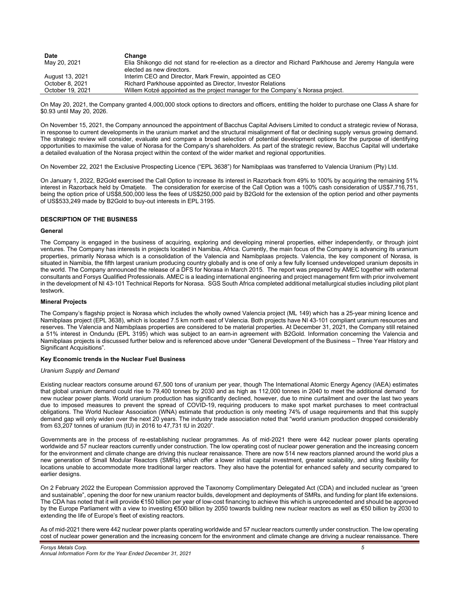| <b>Date</b>      | Change                                                                                                  |
|------------------|---------------------------------------------------------------------------------------------------------|
| May 20, 2021     | Elia Shikongo did not stand for re-election as a director and Richard Parkhouse and Jeremy Hangula were |
|                  | elected as new directors.                                                                               |
| August 13, 2021  | Interim CEO and Director, Mark Frewin, appointed as CEO                                                 |
| October 8, 2021  | Richard Parkhouse appointed as Director, Investor Relations                                             |
| October 19, 2021 | Willem Kotzé appointed as the project manager for the Company's Norasa project.                         |

On May 20, 2021, the Company granted 4,000,000 stock options to directors and officers, entitling the holder to purchase one Class A share for \$0.93 until May 20, 2026.

On November 15, 2021, the Company announced the appointment of Bacchus Capital Advisers Limited to conduct a strategic review of Norasa, in response to current developments in the uranium market and the structural misalignment of flat or declining supply versus growing demand. The strategic review will consider, evaluate and compare a broad selection of potential development options for the purpose of identifying opportunities to maximise the value of Norasa for the Company's shareholders. As part of the strategic review, Bacchus Capital will undertake a detailed evaluation of the Norasa project within the context of the wider market and regional opportunities.

On November 22, 2021 the Exclusive Prospecting Licence ("EPL 3638") for Namibplaas was transferred to Valencia Uranium (Pty) Ltd.

On January 1, 2022, B2Gold exercised the Call Option to increase its interest in Razorback from 49% to 100% by acquiring the remaining 51% interest in Razorback held by Omatjete. The consideration for exercise of the Call Option was a 100% cash consideration of US\$7,716,751, being the option price of US\$8,500,000 less the fees of US\$250,000 paid by B2Gold for the extension of the option period and other payments of US\$533,249 made by B2Gold to buy-out interests in EPL 3195.

# **DESCRIPTION OF THE BUSINESS**

#### **General**

The Company is engaged in the business of acquiring, exploring and developing mineral properties, either independently, or through joint ventures. The Company has interests in projects located in Namibia, Africa. Currently, the main focus of the Company is advancing its uranium properties, primarily Norasa which is a consolidation of the Valencia and Namibplaas projects. Valencia, the key component of Norasa, is situated in Namibia, the fifth largest uranium producing country globally and is one of only a few fully licensed undeveloped uranium deposits in the world. The Company announced the release of a DFS for Norasa in March 2015. The report was prepared by AMEC together with external consultants and Forsys Qualified Professionals. AMEC is a leading international engineering and project management firm with prior involvement in the development of NI 43-101 Technical Reports for Norasa. SGS South Africa completed additional metallurgical studies including pilot plant testwork.

# **Mineral Projects**

The Company's flagship project is Norasa which includes the wholly owned Valencia project (ML 149) which has a 25-year mining licence and Namibplaas project (EPL 3638), which is located 7.5 km north east of Valencia. Both projects have NI 43-101 compliant uranium resources and reserves. The Valencia and Namibplaas properties are considered to be material properties. At December 31, 2021, the Company still retained a 51% interest in Ondundu (EPL 3195) which was subject to an earn-in agreement with B2Gold. Information concerning the Valencia and Namibplaas projects is discussed further below and is referenced above under "General Development of the Business – Three Year History and Significant Acquisitions".

#### **Key Economic trends in the Nuclear Fuel Business**

# *Uranium Supply and Demand*

Existing nuclear reactors consume around 67,500 tons of uranium per year, though The International Atomic Energy Agency (IAEA) estimates that global uranium demand could rise to 79,400 tonnes by 2030 and as high as 112,000 tonnes in 2040 to meet the additional demand for new nuclear power plants. World uranium production has significantly declined, however, due to mine curtailment and over the last two years due to imposed measures to prevent the spread of COVID-19, requiring producers to make spot market purchases to meet contractual obligations. The World Nuclear Association (WNA) estimate that production is only meeting 74% of usage requirements and that this supply demand gap will only widen over the next 20 years. The industry trade association noted that "world uranium production dropped considerably from 63,207 tonnes of uranium (tU) in 2016 to 47,731 tU in 2020".

Governments are in the process of re-establishing nuclear programmes. As of mid-2021 there were 442 nuclear power plants operating worldwide and 57 nuclear reactors currently under construction. The low operating cost of nuclear power generation and the increasing concern for the environment and climate change are driving this nuclear renaissance. There are now 514 new reactors planned around the world plus a new generation of Small Modular Reactors (SMRs) which offer a lower initial capital investment, greater scalability, and siting flexibility for locations unable to accommodate more traditional larger reactors. They also have the potential for enhanced safety and security compared to earlier designs.

On 2 February 2022 the European Commission approved the Taxonomy Complimentary Delegated Act (CDA) and included nuclear as "green and sustainable", opening the door for new uranium reactor builds, development and deployments of SMRs, and funding for plant life extensions. The CDA has noted that it will provide €150 billion per year of low-cost financing to achieve this which is unprecedented and should be approved by the Europe Parliament with a view to investing €500 billion by 2050 towards building new nuclear reactors as well as €50 billion by 2030 to extending the life of Europe's fleet of existing reactors.

As of mid-2021 there were 442 nuclear power plants operating worldwide and 57 nuclear reactors currently under construction. The low operating cost of nuclear power generation and the increasing concern for the environment and climate change are driving a nuclear renaissance. There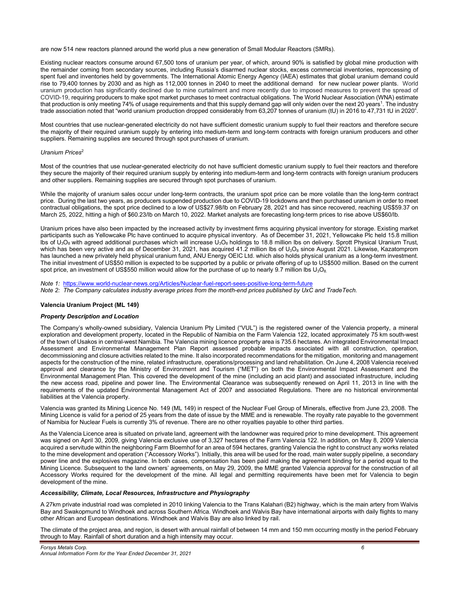are now 514 new reactors planned around the world plus a new generation of Small Modular Reactors (SMRs).

Existing nuclear reactors consume around 67,500 tons of uranium per year, of which, around 90% is satisfied by global mine production with the remainder coming from secondary sources, including Russia's disarmed nuclear stocks, excess commercial inventories, reprocessing of spent fuel and inventories held by governments. The International Atomic Energy Agency (IAEA) estimates that global uranium demand could rise to 79,400 tonnes by 2030 and as high as 112,000 tonnes in 2040 to meet the additional demand for new nuclear power plants. World uranium production has significantly declined due to mine curtailment and more recently due to imposed measures to prevent the spread of COVID-19, requiring producers to make spot market purchases to meet contractual obligations. The World Nuclear Association (WNA) estimate that production is only meeting 74% of usage requirements and that this supply demand gap will only widen over the next 20 years<sup>1</sup>. The industry trade association noted that "world uranium production dropped considerably from 63,207 tonnes of uranium (tU) in 2016 to 47,731 tU in 2020".

Most countries that use nuclear-generated electricity do not have sufficient domestic uranium supply to fuel their reactors and therefore secure the majority of their required uranium supply by entering into medium-term and long-term contracts with foreign uranium producers and other suppliers. Remaining supplies are secured through spot purchases of uranium.

# *Uranium Prices*<sup>2</sup>

Most of the countries that use nuclear-generated electricity do not have sufficient domestic uranium supply to fuel their reactors and therefore they secure the majority of their required uranium supply by entering into medium-term and long-term contracts with foreign uranium producers and other suppliers. Remaining supplies are secured through spot purchases of uranium.

While the majority of uranium sales occur under long-term contracts, the uranium spot price can be more volatile than the long-term contract price. During the last two years, as producers suspended production due to COVID-19 lockdowns and then purchased uranium in order to meet contractual obligations, the spot price declined to a low of US\$27.98/lb on February 28, 2021 and has since recovered, reaching US\$59.37 on March 25, 2022, hitting a high of \$60.23/lb on March 10, 2022. Market analysts are forecasting long-term prices to rise above US\$60/lb.

Uranium prices have also been impacted by the increased activity by investment firms acquiring physical inventory for storage. Existing market participants such as Yellowcake Plc have continued to acquire physical inventory. As of December 31, 2021, Yellowcake Plc held 15.8 million Ibs of  $U_3O_8$  with agreed additional purchases which will increase  $U_3O_8$  holdings to 18.8 million lbs on delivery. Sprott Physical Uranium Trust, which has been very active and as of December 31, 2021, has acquired 41.2 million lbs of  $U_3O_8$  since August 2021. Likewise, Kazatomprom has launched a new privately held physical uranium fund, ANU Energy OEIC Ltd. which also holds physical uranium as a long-term investment. The initial investment of US\$50 million is expected to be supported by a public or private offering of up to US\$500 million. Based on the current spot price, an investment of US\$550 million would allow for the purchase of up to nearly 9.7 million lbs  $U_3O_8$ .

*Note 1:* https://www.world-nuclear-news.org/Articles/Nuclear-fuel-report-sees-positive-long-term-future *Note 2: The Company calculates industry average prices from the month-end prices published by UxC and TradeTech.* 

# **Valencia Uranium Project (ML 149)**

# *Property Description and Location*

The Company's wholly-owned subsidiary, Valencia Uranium Pty Limited ("VUL") is the registered owner of the Valencia property, a mineral exploration and development property, located in the Republic of Namibia on the Farm Valencia 122, located approximately 75 km south-west of the town of Usakos in central-west Namibia. The Valencia mining licence property area is 735.6 hectares. An integrated Environmental Impact Assessment and Environmental Management Plan Report assessed probable impacts associated with all construction, operation, decommissioning and closure activities related to the mine. It also incorporated recommendations for the mitigation, monitoring and management aspects for the construction of the mine, related infrastructure, operations/processing and land rehabilitation. On June 4, 2008 Valencia received approval and clearance by the Ministry of Environment and Tourism ("MET") on both the Environmental Impact Assessment and the Environmental Management Plan. This covered the development of the mine (including an acid plant) and associated infrastructure, including the new access road, pipeline and power line. The Environmental Clearance was subsequently renewed on April 11, 2013 in line with the requirements of the updated Environmental Management Act of 2007 and associated Regulations. There are no historical environmental liabilities at the Valencia property.

Valencia was granted its Mining Licence No. 149 (ML 149) in respect of the Nuclear Fuel Group of Minerals, effective from June 23, 2008. The Mining Licence is valid for a period of 25 years from the date of issue by the MME and is renewable. The royalty rate payable to the government of Namibia for Nuclear Fuels is currently 3% of revenue. There are no other royalties payable to other third parties.

As the Valencia Licence area is situated on private land, agreement with the landowner was required prior to mine development. This agreement was signed on April 30, 2009, giving Valencia exclusive use of 3,327 hectares of the Farm Valencia 122. In addition, on May 8, 2009 Valencia acquired a servitude within the neighboring Farm Bloemhof for an area of 594 hectares, granting Valencia the right to construct any works related to the mine development and operation ("Accessory Works"). Initially, this area will be used for the road, main water supply pipeline, a secondary power line and the explosives magazine. In both cases, compensation has been paid making the agreement binding for a period equal to the Mining Licence. Subsequent to the land owners' agreements, on May 29, 2009, the MME granted Valencia approval for the construction of all Accessory Works required for the development of the mine. All legal and permitting requirements have been met for Valencia to begin development of the mine.

# *Accessibility, Climate, Local Resources, Infrastructure and Physiography*

A 27km private industrial road was completed in 2010 linking Valencia to the Trans Kalahari (B2) highway, which is the main artery from Walvis Bay and Swakopmund to Windhoek and across Southern Africa. Windhoek and Walvis Bay have international airports with daily flights to many other African and European destinations. Windhoek and Walvis Bay are also linked by rail.

The climate of the project area, and region, is desert with annual rainfall of between 14 mm and 150 mm occurring mostly in the period February through to May. Rainfall of short duration and a high intensity may occur.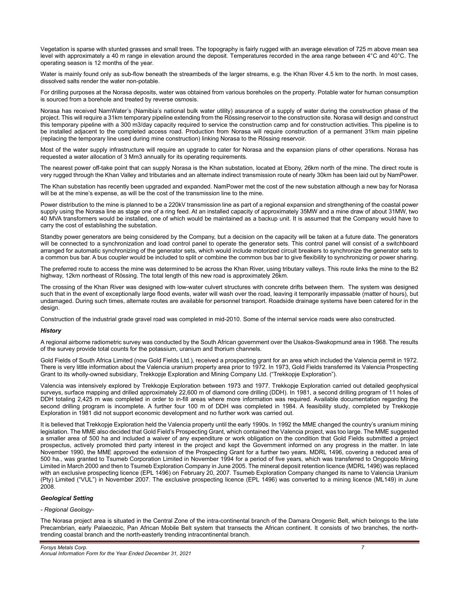Vegetation is sparse with stunted grasses and small trees. The topography is fairly rugged with an average elevation of 725 m above mean sea level with approximately a 40 m range in elevation around the deposit. Temperatures recorded in the area range between 4°C and 40°C. The operating season is 12 months of the year.

Water is mainly found only as sub-flow beneath the streambeds of the larger streams, e.g. the Khan River 4.5 km to the north. In most cases, dissolved salts render the water non-potable.

For drilling purposes at the Norasa deposits, water was obtained from various boreholes on the property. Potable water for human consumption is sourced from a borehole and treated by reverse osmosis.

Norasa has received NamWater's (Namibia's national bulk water utility) assurance of a supply of water during the construction phase of the project. This will require a 31km temporary pipeline extending from the Rössing reservoir to the construction site. Norasa will design and construct this temporary pipeline with a 300 m3/day capacity required to service the construction camp and for construction activities. This pipeline is to be installed adjacent to the completed access road. Production from Norasa will require construction of a permanent 31km main pipeline (replacing the temporary line used during mine construction) linking Norasa to the Rössing reservoir.

Most of the water supply infrastructure will require an upgrade to cater for Norasa and the expansion plans of other operations. Norasa has requested a water allocation of 3 Mm3 annually for its operating requirements.

The nearest power off-take point that can supply Norasa is the Khan substation, located at Ebony, 26km north of the mine. The direct route is very rugged through the Khan Valley and tributaries and an alternate indirect transmission route of nearly 30km has been laid out by NamPower.

The Khan substation has recently been upgraded and expanded. NamPower met the cost of the new substation although a new bay for Norasa will be at the mine's expense, as will be the cost of the transmission line to the mine.

Power distribution to the mine is planned to be a 220kV transmission line as part of a regional expansion and strengthening of the coastal power supply using the Norasa line as stage one of a ring feed. At an installed capacity of approximately 35MW and a mine draw of about 31MW, two 40 MVA transformers would be installed, one of which would be maintained as a backup unit. It is assumed that the Company would have to carry the cost of establishing the substation.

Standby power generators are being considered by the Company, but a decision on the capacity will be taken at a future date. The generators will be connected to a synchronization and load control panel to operate the generator sets. This control panel will consist of a switchboard arranged for automatic synchronizing of the generator sets, which would include motorized circuit breakers to synchronize the generator sets to a common bus bar. A bus coupler would be included to split or combine the common bus bar to give flexibility to synchronizing or power sharing.

The preferred route to access the mine was determined to be across the Khan River, using tributary valleys. This route links the mine to the B2 highway, 12km northeast of Rössing. The total length of this new road is approximately 26km.

The crossing of the Khan River was designed with low-water culvert structures with concrete drifts between them. The system was designed such that in the event of exceptionally large flood events, water will wash over the road, leaving it temporarily impassable (matter of hours), but undamaged. During such times, alternate routes are available for personnel transport. Roadside drainage systems have been catered for in the design.

Construction of the industrial grade gravel road was completed in mid-2010. Some of the internal service roads were also constructed.

# *History*

A regional airborne radiometric survey was conducted by the South African government over the Usakos-Swakopmund area in 1968. The results of the survey provide total counts for the potassium, uranium and thorium channels.

Gold Fields of South Africa Limited (now Gold Fields Ltd.), received a prospecting grant for an area which included the Valencia permit in 1972. There is very little information about the Valencia uranium property area prior to 1972. In 1973, Gold Fields transferred its Valencia Prospecting Grant to its wholly-owned subsidiary, Trekkopje Exploration and Mining Company Ltd. ("Trekkopje Exploration").

Valencia was intensively explored by Trekkopje Exploration between 1973 and 1977. Trekkopje Exploration carried out detailed geophysical surveys, surface mapping and drilled approximately 22,600 m of diamond core drilling (DDH). In 1981, a second drilling program of 11 holes of DDH totaling 2,425 m was completed in order to in-fill areas where more information was required. Available documentation regarding the second drilling program is incomplete. A further four 100 m of DDH was completed in 1984. A feasibility study, completed by Trekkopje Exploration in 1981 did not support economic development and no further work was carried out.

It is believed that Trekkopje Exploration held the Valencia property until the early 1990s. In 1992 the MME changed the country's uranium mining legislation. The MME also decided that Gold Field's Prospecting Grant, which contained the Valencia project, was too large. The MME suggested a smaller area of 500 ha and included a waiver of any expenditure or work obligation on the condition that Gold Fields submitted a project prospectus, actively promoted third party interest in the project and kept the Government informed on any progress in the matter. In late November 1990, the MME approved the extension of the Prospecting Grant for a further two years. MDRL 1496, covering a reduced area of 500 ha., was granted to Tsumeb Corporation Limited in November 1994 for a period of five years, which was transferred to Ongopolo Mining Limited in March 2000 and then to Tsumeb Exploration Company in June 2005. The mineral deposit retention licence (MDRL 1496) was replaced with an exclusive prospecting licence (EPL 1496) on February 20, 2007. Tsumeb Exploration Company changed its name to Valencia Uranium (Pty) Limited ("VUL") in November 2007. The exclusive prospecting licence (EPL 1496) was converted to a mining licence (ML149) in June 2008.

# *Geological Setting*

#### *- Regional Geology-*

The Norasa project area is situated in the Central Zone of the intra-continental branch of the Damara Orogenic Belt, which belongs to the late Precambrian, early Palaeozoic, Pan African Mobile Belt system that transects the African continent. It consists of two branches, the northtrending coastal branch and the north-easterly trending intracontinental branch.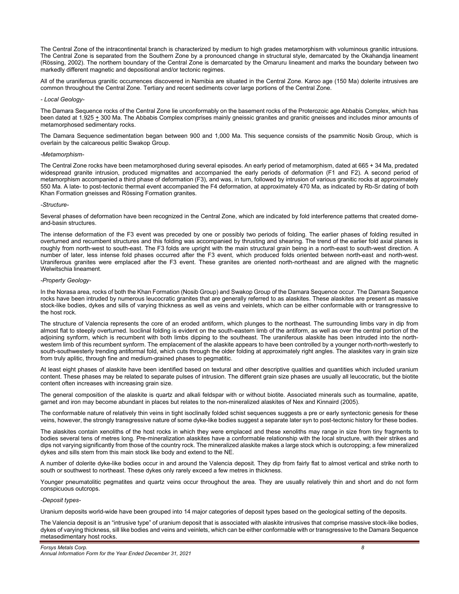The Central Zone of the intracontinental branch is characterized by medium to high grades metamorphism with voluminous granitic intrusions. The Central Zone is separated from the Southern Zone by a pronounced change in structural style, demarcated by the Okahandja lineament (Rössing, 2002). The northern boundary of the Central Zone is demarcated by the Omaruru lineament and marks the boundary between two markedly different magnetic and depositional and/or tectonic regimes.

All of the uraniferous granitic occurrences discovered in Namibia are situated in the Central Zone. Karoo age (150 Ma) dolerite intrusives are common throughout the Central Zone. Tertiary and recent sediments cover large portions of the Central Zone.

# *- Local Geology-*

The Damara Sequence rocks of the Central Zone lie unconformably on the basement rocks of the Proterozoic age Abbabis Complex, which has been dated at 1,925 + 300 Ma. The Abbabis Complex comprises mainly gneissic granites and granitic gneisses and includes minor amounts of metamorphosed sedimentary rocks.

The Damara Sequence sedimentation began between 900 and 1,000 Ma. This sequence consists of the psammitic Nosib Group, which is overlain by the calcareous pelitic Swakop Group.

#### *-Metamorphism-*

The Central Zone rocks have been metamorphosed during several episodes. An early period of metamorphism, dated at 665 + 34 Ma, predated widespread granite intrusion, produced migmatites and accompanied the early periods of deformation (F1 and F2). A second period of metamorphism accompanied a third phase of deformation (F3), and was, in turn, followed by intrusion of various granitic rocks at approximately 550 Ma. A late- to post-tectonic thermal event accompanied the F4 deformation, at approximately 470 Ma, as indicated by Rb-Sr dating of both Khan Formation gneisses and Rössing Formation granites.

#### *-Structure-*

Several phases of deformation have been recognized in the Central Zone, which are indicated by fold interference patterns that created domeand-basin structures.

The intense deformation of the F3 event was preceded by one or possibly two periods of folding. The earlier phases of folding resulted in overturned and recumbent structures and this folding was accompanied by thrusting and shearing. The trend of the earlier fold axial planes is roughly from north-west to south-east. The F3 folds are upright with the main structural grain being in a north-east to south-west direction. A number of later, less intense fold phases occurred after the F3 event, which produced folds oriented between north-east and north-west. Uraniferous granites were emplaced after the F3 event. These granites are oriented north-northeast and are aligned with the magnetic Welwitschia lineament.

#### *-Property Geology-*

In the Norasa area, rocks of both the Khan Formation (Nosib Group) and Swakop Group of the Damara Sequence occur. The Damara Sequence rocks have been intruded by numerous leucocratic granites that are generally referred to as alaskites. These alaskites are present as massive stock-like bodies, dykes and sills of varying thickness as well as veins and veinlets, which can be either conformable with or transgressive to the host rock.

The structure of Valencia represents the core of an eroded antiform, which plunges to the northeast. The surrounding limbs vary in dip from almost flat to steeply overturned. Isoclinal folding is evident on the south-eastern limb of the antiform, as well as over the central portion of the adjoining synform, which is recumbent with both limbs dipping to the southeast. The uraniferous alaskite has been intruded into the northwestern limb of this recumbent synform. The emplacement of the alaskite appears to have been controlled by a younger north-north-westerly to south-southwesterly trending antiformal fold, which cuts through the older folding at approximately right angles. The alaskites vary in grain size from truly aplitic, through fine and medium-grained phases to pegmatitic.

At least eight phases of alaskite have been identified based on textural and other descriptive qualities and quantities which included uranium content. These phases may be related to separate pulses of intrusion. The different grain size phases are usually all leucocratic, but the biotite content often increases with increasing grain size.

The general composition of the alaskite is quartz and alkali feldspar with or without biotite. Associated minerals such as tourmaline, apatite, garnet and iron may become abundant in places but relates to the non-mineralized alaskites of Nex and Kinnaird (2005).

The conformable nature of relatively thin veins in tight isoclinally folded schist sequences suggests a pre or early syntectonic genesis for these veins, however, the strongly transgressive nature of some dyke-like bodies suggest a separate later syn to post-tectonic history for these bodies.

The alaskites contain xenoliths of the host rocks in which they were emplaced and these xenoliths may range in size from tiny fragments to bodies several tens of metres long. Pre-mineralization alaskites have a conformable relationship with the local structure, with their strikes and dips not varying significantly from those of the country rock. The mineralized alaskite makes a large stock which is outcropping; a few mineralized dykes and sills stem from this main stock like body and extend to the NE.

A number of dolerite dyke-like bodies occur in and around the Valencia deposit. They dip from fairly flat to almost vertical and strike north to south or southwest to northeast. These dykes only rarely exceed a few metres in thickness.

Younger pneumatolitic pegmatites and quartz veins occur throughout the area. They are usually relatively thin and short and do not form conspicuous outcrops.

#### *-Deposit types-*

Uranium deposits world-wide have been grouped into 14 major categories of deposit types based on the geological setting of the deposits.

The Valencia deposit is an "intrusive type" of uranium deposit that is associated with alaskite intrusives that comprise massive stock-like bodies, dykes of varying thickness, sill like bodies and veins and veinlets, which can be either conformable with or transgressive to the Damara Sequence metasedimentary host rocks.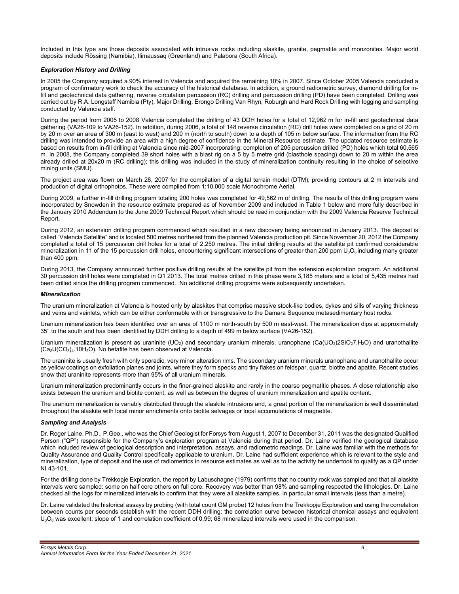Included in this type are those deposits associated with intrusive rocks including alaskite, granite, pegmatite and monzonites. Major world deposits include Rössing (Namibia), Ilimaussaq (Greenland) and Palabora (South Africa).

# *Exploration History and Drilling*

In 2005 the Company acquired a 90% interest in Valencia and acquired the remaining 10% in 2007. Since October 2005 Valencia conducted a program of confirmatory work to check the accuracy of the historical database. In addition, a ground radiometric survey, diamond drilling for infill and geotechnical data gathering, reverse circulation percussion (RC) drilling and percussion drilling (PD) have been completed. Drilling was carried out by R.A. Longstaff Namibia (Pty), Major Drilling, Erongo Drilling Van Rhyn, Roburgh and Hard Rock Drilling with logging and sampling conducted by Valencia staff.

During the period from 2005 to 2008 Valencia completed the drilling of 43 DDH holes for a total of 12,962 m for in-fill and geotechnical data gathering (VA26-109 to VA26-152). In addition, during 2006, a total of 148 reverse circulation (RC) drill holes were completed on a grid of 20 m by 20 m over an area of 300 m (east to west) and 200 m (north to south) down to a depth of 105 m below surface. The information from the RC drilling was intended to provide an area with a high degree of confidence in the Mineral Resource estimate. The updated resource estimate is based on results from in-fill drilling at Valencia since mid-2007 incorporating: completion of 205 percussion drilled (PD) holes which total 60,565 m. In 2008, the Company completed 39 short holes with a blast rig on a 5 by 5 metre grid (blasthole spacing) down to 20 m within the area already drilled at 20x20 m (RC drilling); this drilling was included in the study of mineralization continuity resulting in the choice of selective mining units (SMU).

The project area was flown on March 28, 2007 for the compilation of a digital terrain model (DTM), providing contours at 2 m intervals and production of digital orthophotos. These were compiled from 1:10,000 scale Monochrome Aerial.

During 2009, a further in-fill drilling program totaling 200 holes was completed for 49,562 m of drilling. The results of this drilling program were incorporated by Snowden in the resource estimate prepared as of November 2009 and included in Table 1 below and more fully described in the January 2010 Addendum to the June 2009 Technical Report which should be read in conjunction with the 2009 Valencia Reserve Technical Report.

During 2012, an extension drilling program commenced which resulted in a new discovery being announced in January 2013. The deposit is called "Valencia Satellite" and is located 500 metres northeast from the planned Valencia production pit. Since November 20, 2012 the Company completed a total of 15 percussion drill holes for a total of 2,250 metres. The initial drilling results at the satellite pit confirmed considerable mineralization in 11 of the 15 percussion drill holes, encountering significant intersections of greater than 200 ppm  $U_3O_8$  including many greater than 400 ppm.

During 2013, the Company announced further positive drilling results at the satellite pit from the extension exploration program. An additional 30 percussion drill holes were completed in Q1 2013. The total metres drilled in this phase were 3,185 meters and a total of 5,435 metres had been drilled since the drilling program commenced. No additional drilling programs were subsequently undertaken.

# *Mineralization*

The uranium mineralization at Valencia is hosted only by alaskites that comprise massive stock-like bodies, dykes and sills of varying thickness and veins and veinlets, which can be either conformable with or transgressive to the Damara Sequence metasedimentary host rocks.

Uranium mineralization has been identified over an area of 1100 m north-south by 500 m east-west. The mineralization dips at approximately 35° to the south and has been identified by DDH drilling to a depth of 499 m below surface (VA26-152).

Uranium mineralization is present as uraninite (UO<sub>2</sub>) and secondary uranium minerals, uranophane (Ca(UO<sub>2</sub>)2SiO<sub>2</sub>7.H<sub>2</sub>O) and uranothallite  $(Ca_2U(CO_3)_4.10H_2O)$ . No betafite has been observed at Valencia.

The uraninite is usually fresh with only sporadic, very minor alteration rims. The secondary uranium minerals uranophane and uranothallite occur as yellow coatings on exfoliation planes and joints, where they form specks and tiny flakes on feldspar, quartz, biotite and apatite. Recent studies show that uraninite represents more than 95% of all uranium minerals.

Uranium mineralization predominantly occurs in the finer-grained alaskite and rarely in the coarse pegmatitic phases. A close relationship also exists between the uranium and biotite content, as well as between the degree of uranium mineralization and apatite content.

The uranium mineralization is variably distributed through the alaskite intrusions and, a great portion of the mineralization is well disseminated throughout the alaskite with local minor enrichments onto biotite selvages or local accumulations of magnetite.

#### *Sampling and Analysis*

Dr. Roger Laine, Ph.D., P.Geo., who was the Chief Geologist for Forsys from August 1, 2007 to December 31, 2011 was the designated Qualified Person ("QP") responsible for the Company's exploration program at Valencia during that period. Dr. Laine verified the geological database which included review of geological description and interpretation, assays, and radiometric readings. Dr. Laine was familiar with the methods for Quality Assurance and Quality Control specifically applicable to uranium. Dr. Laine had sufficient experience which is relevant to the style and mineralization, type of deposit and the use of radiometrics in resource estimates as well as to the activity he undertook to qualify as a QP under NI 43-101.

For the drilling done by Trekkopje Exploration, the report by Labuschagne (1979) confirms that no country rock was sampled and that all alaskite intervals were sampled: some on half core others on full core. Recovery was better than 98% and sampling respected the lithologies. Dr. Laine checked all the logs for mineralized intervals to confirm that they were all alaskite samples, in particular small intervals (less than a metre).

Dr. Laine validated the historical assays by probing (with total count GM probe) 12 holes from the Trekkopje Exploration and using the correlation between counts per seconds establish with the recent DDH drilling: the correlation curve between historical chemical assays and equivalent  $U_3O_8$  was excellent: slope of 1 and correlation coefficient of 0.99; 68 mineralized intervals were used in the comparison.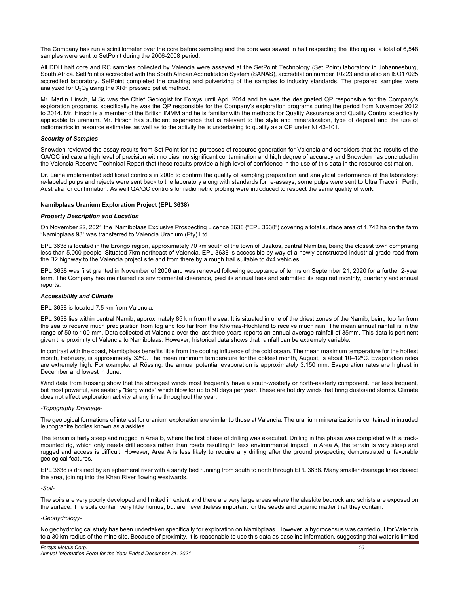The Company has run a scintillometer over the core before sampling and the core was sawed in half respecting the lithologies: a total of 6,548 samples were sent to SetPoint during the 2006-2008 period.

All DDH half core and RC samples collected by Valencia were assayed at the SetPoint Technology (Set Point) laboratory in Johannesburg, South Africa. SetPoint is accredited with the South African Accreditation System (SANAS), accreditation number T0223 and is also an ISO17025 accredited laboratory. SetPoint completed the crushing and pulverizing of the samples to industry standards. The prepared samples were analyzed for  $U_3O_8$  using the XRF pressed pellet method.

Mr. Martin Hirsch, M.Sc was the Chief Geologist for Forsys until April 2014 and he was the designated QP responsible for the Company's exploration programs, specifically he was the QP responsible for the Company's exploration programs during the period from November 2012 to 2014. Mr. Hirsch is a member of the British IMMM and he is familiar with the methods for Quality Assurance and Quality Control specifically applicable to uranium. Mr. Hirsch has sufficient experience that is relevant to the style and mineralization, type of deposit and the use of radiometrics in resource estimates as well as to the activity he is undertaking to qualify as a QP under NI 43-101.

# *Security of Samples*

Snowden reviewed the assay results from Set Point for the purposes of resource generation for Valencia and considers that the results of the QA/QC indicate a high level of precision with no bias, no significant contamination and high degree of accuracy and Snowden has concluded in the Valencia Reserve Technical Report that these results provide a high level of confidence in the use of this data in the resource estimation.

Dr. Laine implemented additional controls in 2008 to confirm the quality of sampling preparation and analytical performance of the laboratory: re-labeled pulps and rejects were sent back to the laboratory along with standards for re-assays; some pulps were sent to Ultra Trace in Perth, Australia for confirmation. As well QA/QC controls for radiometric probing were introduced to respect the same quality of work.

# **Namibplaas Uranium Exploration Project (EPL 3638)**

#### *Property Description and Location*

On November 22, 2021 the Namibplaas Exclusive Prospecting Licence 3638 ("EPL 3638") covering a total surface area of 1,742 ha on the farm "Namibplaas 93" was transferred to Valencia Uranium (Pty) Ltd.

EPL 3638 is located in the Erongo region, approximately 70 km south of the town of Usakos, central Namibia, being the closest town comprising less than 5,000 people. Situated 7km northeast of Valencia, EPL 3638 is accessible by way of a newly constructed industrial-grade road from the B2 highway to the Valencia project site and from there by a rough trail suitable to 4x4 vehicles.

EPL 3638 was first granted in November of 2006 and was renewed following acceptance of terms on September 21, 2020 for a further 2-year term. The Company has maintained its environmental clearance, paid its annual fees and submitted its required monthly, quarterly and annual reports.

#### *Accessibility and Climate*

#### EPL 3638 is located 7.5 km from Valencia.

EPL 3638 lies within central Namib, approximately 85 km from the sea. It is situated in one of the driest zones of the Namib, being too far from the sea to receive much precipitation from fog and too far from the Khomas-Hochland to receive much rain. The mean annual rainfall is in the range of 50 to 100 mm. Data collected at Valencia over the last three years reports an annual average rainfall of 35mm. This data is pertinent given the proximity of Valencia to Namibplaas. However, historical data shows that rainfall can be extremely variable.

In contrast with the coast, Namibplaas benefits little from the cooling influence of the cold ocean. The mean maximum temperature for the hottest month, February, is approximately 32ºC. The mean minimum temperature for the coldest month, August, is about 10–12ºC. Evaporation rates are extremely high. For example, at Rössing, the annual potential evaporation is approximately 3,150 mm. Evaporation rates are highest in December and lowest in June.

Wind data from Rössing show that the strongest winds most frequently have a south-westerly or north-easterly component. Far less frequent, but most powerful, are easterly "Berg winds" which blow for up to 50 days per year. These are hot dry winds that bring dust/sand storms. Climate does not affect exploration activity at any time throughout the year.

#### *-Topography Drainage-*

The geological formations of interest for uranium exploration are similar to those at Valencia. The uranium mineralization is contained in intruded leucogranite bodies known as alaskites.

The terrain is fairly steep and rugged in Area B, where the first phase of drilling was executed. Drilling in this phase was completed with a trackmounted rig, which only needs drill access rather than roads resulting in less environmental impact. In Area A, the terrain is very steep and rugged and access is difficult. However, Area A is less likely to require any drilling after the ground prospecting demonstrated unfavorable geological features.

EPL 3638 is drained by an ephemeral river with a sandy bed running from south to north through EPL 3638. Many smaller drainage lines dissect the area, joining into the Khan River flowing westwards.

*-Soil-*

The soils are very poorly developed and limited in extent and there are very large areas where the alaskite bedrock and schists are exposed on the surface. The soils contain very little humus, but are nevertheless important for the seeds and organic matter that they contain.

#### *-Geohydrology-*

No geohydrological study has been undertaken specifically for exploration on Namibplaas. However, a hydrocensus was carried out for Valencia to a 30 km radius of the mine site. Because of proximity, it is reasonable to use this data as baseline information, suggesting that water is limited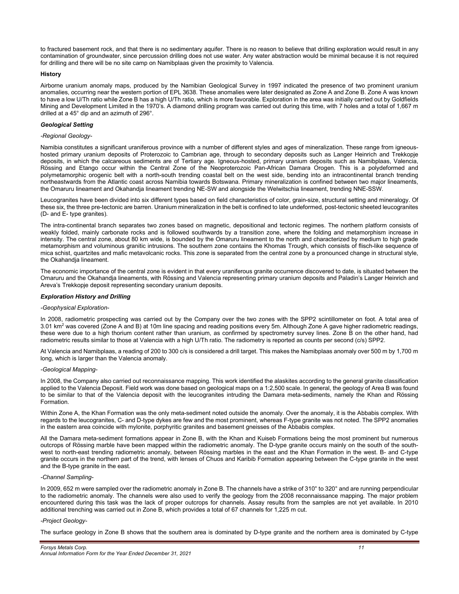to fractured basement rock, and that there is no sedimentary aquifer. There is no reason to believe that drilling exploration would result in any contamination of groundwater, since percussion drilling does not use water. Any water abstraction would be minimal because it is not required for drilling and there will be no site camp on Namibplaas given the proximity to Valencia.

# **History**

Airborne uranium anomaly maps, produced by the Namibian Geological Survey in 1997 indicated the presence of two prominent uranium anomalies, occurring near the western portion of EPL 3638. These anomalies were later designated as Zone A and Zone B. Zone A was known to have a low U/Th ratio while Zone B has a high U/Th ratio, which is more favorable. Exploration in the area was initially carried out by Goldfields Mining and Development Limited in the 1970's. A diamond drilling program was carried out during this time, with 7 holes and a total of 1,667 m drilled at a 45° dip and an azimuth of 296°.

# *Geological Setting*

#### *-Regional Geology-*

Namibia constitutes a significant uraniferous province with a number of different styles and ages of mineralization. These range from igneoushosted primary uranium deposits of Proterozoic to Cambrian age, through to secondary deposits such as Langer Heinrich and Trekkopje deposits, in which the calcareous sediments are of Tertiary age. Igneous-hosted, primary uranium deposits such as Namibplaas, Valencia, Rössing and Etango occur within the Central Zone of the Neoproterozoic Pan-African Damara Orogen. This is a polydeformed and polymetamorphic orogenic belt with a north-south trending coastal belt on the west side, bending into an intracontinental branch trending northeastwards from the Atlantic coast across Namibia towards Botswana. Primary mineralization is confined between two major lineaments, the Omaruru lineament and Okahandja lineament trending NE-SW and alongside the Welwitschia lineament, trending NNE-SSW.

Leucogranites have been divided into six different types based on field characteristics of color, grain-size, structural setting and mineralogy. Of these six, the three pre-tectonic are barren. Uranium mineralization in the belt is confined to late undeformed, post-tectonic sheeted leucogranites (D- and E- type granites).

The intra-continental branch separates two zones based on magnetic, depositional and tectonic regimes. The northern platform consists of weakly folded, mainly carbonate rocks and is followed southwards by a transition zone, where the folding and metamorphism increase in intensity. The central zone, about 80 km wide, is bounded by the Omaruru lineament to the north and characterized by medium to high grade metamorphism and voluminous granitic intrusions. The southern zone contains the Khomas Trough, which consists of flisch-like sequence of mica schist, quartzites and mafic metavolcanic rocks. This zone is separated from the central zone by a pronounced change in structural style, the Okahandja lineament.

The economic importance of the central zone is evident in that every uraniferous granite occurrence discovered to date, is situated between the Omaruru and the Okahandja lineaments, with Rössing and Valencia representing primary uranium deposits and Paladin's Langer Heinrich and Areva's Trekkopje deposit representing secondary uranium deposits.

# *Exploration History and Drilling*

# *-Geophysical Exploration-*

In 2008, radiometric prospecting was carried out by the Company over the two zones with the SPP2 scintillometer on foot. A total area of 3.01 km<sup>2</sup> was covered (Zone A and B) at 10m line spacing and reading positions every 5m. Although Zone A gave higher radiometric readings, these were due to a high thorium content rather than uranium, as confirmed by spectrometry survey lines. Zone B on the other hand, had radiometric results similar to those at Valencia with a high U/Th ratio. The radiometry is reported as counts per second (c/s) SPP2.

At Valencia and Namibplaas, a reading of 200 to 300 c/s is considered a drill target. This makes the Namibplaas anomaly over 500 m by 1,700 m long, which is larger than the Valencia anomaly.

#### *-Geological Mapping-*

In 2008, the Company also carried out reconnaissance mapping. This work identified the alaskites according to the general granite classification applied to the Valencia Deposit. Field work was done based on geological maps on a 1:2,500 scale. In general, the geology of Area B was found to be similar to that of the Valencia deposit with the leucogranites intruding the Damara meta-sediments, namely the Khan and Rössing Formation.

Within Zone A, the Khan Formation was the only meta-sediment noted outside the anomaly. Over the anomaly, it is the Abbabis complex. With regards to the leucogranites, C- and D-type dykes are few and the most prominent, whereas F-type granite was not noted. The SPP2 anomalies in the eastern area coincide with mylonite, porphyritic granites and basement gneisses of the Abbabis complex.

All the Damara meta-sediment formations appear in Zone B, with the Khan and Kuiseb Formations being the most prominent but numerous outcrops of Rössing marble have been mapped within the radiometric anomaly. The D-type granite occurs mainly on the south of the southwest to north-east trending radiometric anomaly, between Rössing marbles in the east and the Khan Formation in the west. B- and C-type granite occurs in the northern part of the trend, with lenses of Chuos and Karibib Formation appearing between the C-type granite in the west and the B-type granite in the east.

#### *-Channel Sampling-*

In 2009, 652 m were sampled over the radiometric anomaly in Zone B. The channels have a strike of 310° to 320° and are running perpendicular to the radiometric anomaly. The channels were also used to verify the geology from the 2008 reconnaissance mapping. The major problem encountered during this task was the lack of proper outcrops for channels. Assay results from the samples are not yet available. In 2010 additional trenching was carried out in Zone B, which provides a total of 67 channels for 1,225 m cut.

# *-Project Geology-*

The surface geology in Zone B shows that the southern area is dominated by D-type granite and the northern area is dominated by C-type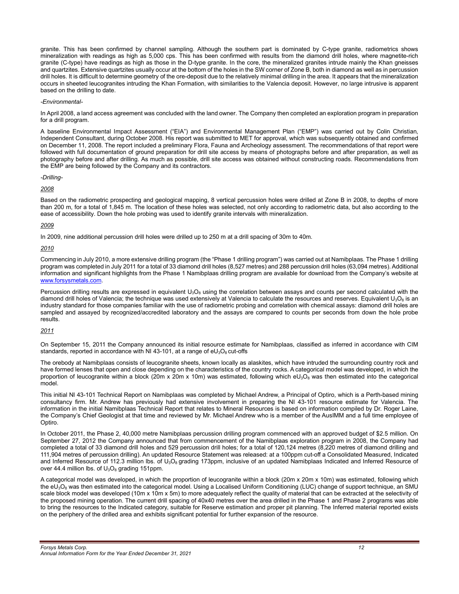granite. This has been confirmed by channel sampling. Although the southern part is dominated by C-type granite, radiometrics shows mineralization with readings as high as 5,000 cps. This has been confirmed with results from the diamond drill holes, where magnetite-rich granite (C-type) have readings as high as those in the D-type granite. In the core, the mineralized granites intrude mainly the Khan gneisses and quartzites. Extensive quartzites usually occur at the bottom of the holes in the SW corner of Zone B, both in diamond as well as in percussion drill holes. It is difficult to determine geometry of the ore-deposit due to the relatively minimal drilling in the area. It appears that the mineralization occurs in sheeted leucogranites intruding the Khan Formation, with similarities to the Valencia deposit. However, no large intrusive is apparent based on the drilling to date.

#### *-Environmental-*

In April 2008, a land access agreement was concluded with the land owner. The Company then completed an exploration program in preparation for a drill program.

A baseline Environmental Impact Assessment ("EIA") and Environmental Management Plan ("EMP") was carried out by Colin Christian, Independent Consultant, during October 2008. His report was submitted to MET for approval, which was subsequently obtained and confirmed on December 11, 2008. The report included a preliminary Flora, Fauna and Archeology assessment. The recommendations of that report were followed with full documentation of ground preparation for drill site access by means of photographs before and after preparation, as well as photography before and after drilling. As much as possible, drill site access was obtained without constructing roads. Recommendations from the EMP are being followed by the Company and its contractors.

#### *-Drilling-*

*2008* 

Based on the radiometric prospecting and geological mapping, 8 vertical percussion holes were drilled at Zone B in 2008, to depths of more than 200 m, for a total of 1,845 m. The location of these holes was selected, not only according to radiometric data, but also according to the ease of accessibility. Down the hole probing was used to identify granite intervals with mineralization.

# *2009*

In 2009, nine additional percussion drill holes were drilled up to 250 m at a drill spacing of 30m to 40m.

*2010* 

Commencing in July 2010, a more extensive drilling program (the "Phase 1 drilling program") was carried out at Namibplaas. The Phase 1 drilling program was completed in July 2011 for a total of 33 diamond drill holes (8,527 metres) and 288 percussion drill holes (63,094 metres). Additional information and significant highlights from the Phase 1 Namibplaas drilling program are available for download from the Company's website at www.forsysmetals.com.

Percussion drilling results are expressed in equivalent  $U_3O_8$  using the correlation between assays and counts per second calculated with the diamond drill holes of Valencia; the technique was used extensively at Valencia to calculate the resources and reserves. Equivalent  $U_3O_8$  is an industry standard for those companies familiar with the use of radiometric probing and correlation with chemical assays: diamond drill holes are sampled and assayed by recognized/accredited laboratory and the assays are compared to counts per seconds from down the hole probe results.

# *2011*

On September 15, 2011 the Company announced its initial resource estimate for Namibplaas, classified as inferred in accordance with CIM standards, reported in accordance with NI 43-101, at a range of  $eU_3O_8$  cut-offs

The orebody at Namibplaas consists of leucogranite sheets, known locally as alaskites, which have intruded the surrounding country rock and have formed lenses that open and close depending on the characteristics of the country rocks. A categorical model was developed, in which the proportion of leucogranite within a block (20m x 20m x 10m) was estimated, following which  $eU_3O_8$  was then estimated into the categorical model.

This initial NI 43-101 Technical Report on Namibplaas was completed by Michael Andrew, a Principal of Optiro, which is a Perth-based mining consultancy firm. Mr. Andrew has previously had extensive involvement in preparing the NI 43-101 resource estimate for Valencia. The information in the initial Namibplaas Technical Report that relates to Mineral Resources is based on information compiled by Dr. Roger Laine, the Company's Chief Geologist at that time and reviewed by Mr. Michael Andrew who is a member of the AusIMM and a full time employee of Optiro.

In October 2011, the Phase 2, 40,000 metre Namibplaas percussion drilling program commenced with an approved budget of \$2.5 million. On September 27, 2012 the Company announced that from commencement of the Namibplaas exploration program in 2008, the Company had completed a total of 33 diamond drill holes and 529 percussion drill holes; for a total of 120,124 metres (8,220 metres of diamond drilling and 111,904 metres of percussion drilling). An updated Resource Statement was released: at a 100ppm cut-off a Consolidated Measured, Indicated and Inferred Resource of 112.3 million lbs. of  $U_3O_8$  grading 173ppm, inclusive of an updated Namibplaas Indicated and Inferred Resource of over 44.4 million lbs. of  $U_3O_8$  grading 151ppm.

A categorical model was developed, in which the proportion of leucogranite within a block (20m x 20m x 10m) was estimated, following which the eU<sub>3</sub>O<sub>8</sub> was then estimated into the categorical model. Using a Localised Uniform Conditioning (LUC) change of support technique, an SMU scale block model was developed (10m x 10m x 5m) to more adequately reflect the quality of material that can be extracted at the selectivity of the proposed mining operation. The current drill spacing of 40x40 metres over the area drilled in the Phase 1 and Phase 2 programs was able to bring the resources to the Indicated category, suitable for Reserve estimation and proper pit planning. The Inferred material reported exists on the periphery of the drilled area and exhibits significant potential for further expansion of the resource.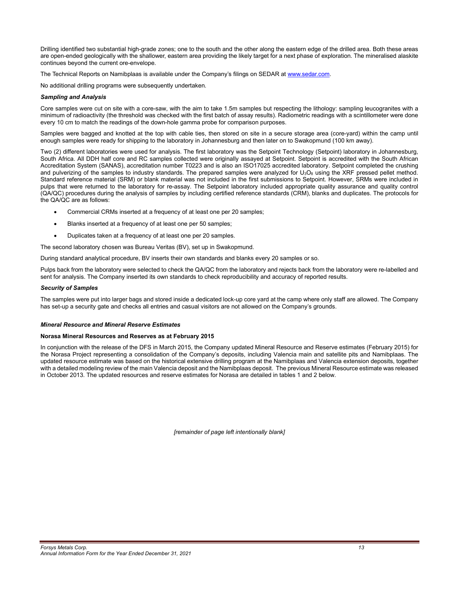Drilling identified two substantial high-grade zones; one to the south and the other along the eastern edge of the drilled area. Both these areas are open-ended geologically with the shallower, eastern area providing the likely target for a next phase of exploration. The mineralised alaskite continues beyond the current ore-envelope.

The Technical Reports on Namibplaas is available under the Company's filings on SEDAR at www.sedar.com.

No additional drilling programs were subsequently undertaken.

#### *Sampling and Analysis*

Core samples were cut on site with a core-saw, with the aim to take 1.5m samples but respecting the lithology: sampling leucogranites with a minimum of radioactivity (the threshold was checked with the first batch of assay results). Radiometric readings with a scintillometer were done every 10 cm to match the readings of the down-hole gamma probe for comparison purposes.

Samples were bagged and knotted at the top with cable ties, then stored on site in a secure storage area (core-yard) within the camp until enough samples were ready for shipping to the laboratory in Johannesburg and then later on to Swakopmund (100 km away).

Two (2) different laboratories were used for analysis. The first laboratory was the Setpoint Technology (Setpoint) laboratory in Johannesburg, South Africa. All DDH half core and RC samples collected were originally assayed at Setpoint. Setpoint is accredited with the South African Accreditation System (SANAS), accreditation number T0223 and is also an ISO17025 accredited laboratory. Setpoint completed the crushing and pulverizing of the samples to industry standards. The prepared samples were analyzed for  $U_3O_8$  using the XRF pressed pellet method. Standard reference material (SRM) or blank material was not included in the first submissions to Setpoint. However, SRMs were included in pulps that were returned to the laboratory for re-assay. The Setpoint laboratory included appropriate quality assurance and quality control (QA/QC) procedures during the analysis of samples by including certified reference standards (CRM), blanks and duplicates. The protocols for the QA/QC are as follows:

- Commercial CRMs inserted at a frequency of at least one per 20 samples;
- Blanks inserted at a frequency of at least one per 50 samples;
- Duplicates taken at a frequency of at least one per 20 samples.

The second laboratory chosen was Bureau Veritas (BV), set up in Swakopmund.

During standard analytical procedure, BV inserts their own standards and blanks every 20 samples or so.

Pulps back from the laboratory were selected to check the QA/QC from the laboratory and rejects back from the laboratory were re-labelled and sent for analysis. The Company inserted its own standards to check reproducibility and accuracy of reported results.

#### *Security of Samples*

The samples were put into larger bags and stored inside a dedicated lock-up core yard at the camp where only staff are allowed. The Company has set-up a security gate and checks all entries and casual visitors are not allowed on the Company's grounds.

#### *Mineral Resource and Mineral Reserve Estimates*

#### **Norasa Mineral Resources and Reserves as at February 2015**

In conjunction with the release of the DFS in March 2015, the Company updated Mineral Resource and Reserve estimates (February 2015) for the Norasa Project representing a consolidation of the Company's deposits, including Valencia main and satellite pits and Namibplaas. The updated resource estimate was based on the historical extensive drilling program at the Namibplaas and Valencia extension deposits, together with a detailed modeling review of the main Valencia deposit and the Namibplaas deposit. The previous Mineral Resource estimate was released in October 2013. The updated resources and reserve estimates for Norasa are detailed in tables 1 and 2 below.

*[remainder of page left intentionally blank]*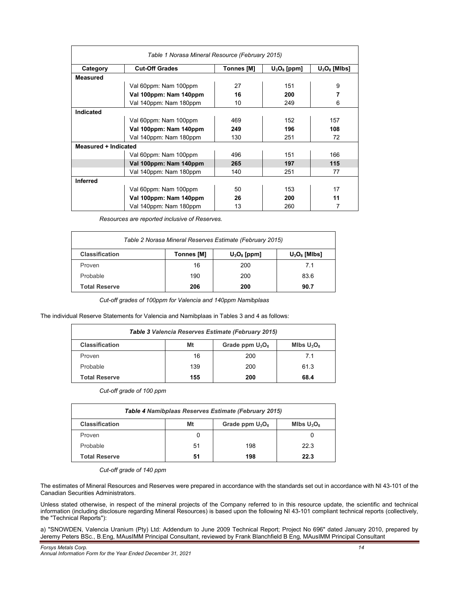| Table 1 Norasa Mineral Resource (February 2015) |                        |                   |                |                 |  |
|-------------------------------------------------|------------------------|-------------------|----------------|-----------------|--|
| Category                                        | <b>Cut-Off Grades</b>  | <b>Tonnes [M]</b> | $U_3O_8$ [ppm] | $U_3O_8$ [MIbs] |  |
| <b>Measured</b>                                 |                        |                   |                |                 |  |
|                                                 | Val 60ppm: Nam 100ppm  | 27                | 151            | 9               |  |
|                                                 | Val 100ppm: Nam 140ppm | 16                | 200            | 7               |  |
|                                                 | Val 140ppm: Nam 180ppm | 10                | 249            | 6               |  |
| Indicated                                       |                        |                   |                |                 |  |
|                                                 | Val 60ppm: Nam 100ppm  | 469               | 152            | 157             |  |
|                                                 | Val 100ppm: Nam 140ppm | 249               | 196            | 108             |  |
|                                                 | Val 140ppm: Nam 180ppm | 130               | 251            | 72              |  |
| Measured + Indicated                            |                        |                   |                |                 |  |
|                                                 | Val 60ppm: Nam 100ppm  | 496               | 151            | 166             |  |
|                                                 | Val 100ppm: Nam 140ppm | 265               | 197            | 115             |  |
|                                                 | Val 140ppm: Nam 180ppm | 140               | 251            | 77              |  |
| <b>Inferred</b>                                 |                        |                   |                |                 |  |
|                                                 | Val 60ppm: Nam 100ppm  | 50                | 153            | 17              |  |
|                                                 | Val 100ppm: Nam 140ppm | 26                | 200            | 11              |  |
|                                                 | Val 140ppm: Nam 180ppm | 13                | 260            | 7               |  |

*Resources are reported inclusive of Reserves.* 

| Table 2 Norasa Mineral Reserves Estimate (February 2015) |                   |                |                 |
|----------------------------------------------------------|-------------------|----------------|-----------------|
| <b>Classification</b>                                    | <b>Tonnes [M]</b> | $U_3O_8$ [ppm] | $U_3O_8$ [MIbs] |
| Proven                                                   | 16                | 200            | 7.1             |
| Probable                                                 | 190               | 200            | 83.6            |
| <b>Total Reserve</b>                                     | 206               | 200            | 90.7            |

*Cut-off grades of 100ppm for Valencia and 140ppm Namibplaas* 

The individual Reserve Statements for Valencia and Namibplaas in Tables 3 and 4 as follows:

| Table 3 Valencia Reserves Estimate (February 2015)                 |     |     |      |  |
|--------------------------------------------------------------------|-----|-----|------|--|
| <b>Classification</b><br>Mt<br>Grade ppm $U_3O_8$<br>Mlbs $U_3O_8$ |     |     |      |  |
| Proven                                                             | 16  | 200 | 7.1  |  |
| Probable                                                           | 139 | 200 | 61.3 |  |
| <b>Total Reserve</b>                                               | 155 | 200 | 68.4 |  |

*Cut-off grade of 100 ppm* 

| Table 4 Namibplaas Reserves Estimate (February 2015)               |    |     |      |  |
|--------------------------------------------------------------------|----|-----|------|--|
| Grade ppm $U_3O_8$<br><b>Classification</b><br>Mt<br>Mlbs $U_3O_8$ |    |     |      |  |
| Proven                                                             |    |     |      |  |
| Probable                                                           | 51 | 198 | 22.3 |  |
| <b>Total Reserve</b><br>51<br>22.3<br>198                          |    |     |      |  |

*Cut-off grade of 140 ppm* 

The estimates of Mineral Resources and Reserves were prepared in accordance with the standards set out in accordance with NI 43-101 of the Canadian Securities Administrators.

Unless stated otherwise, in respect of the mineral projects of the Company referred to in this resource update, the scientific and technical information (including disclosure regarding Mineral Resources) is based upon the following NI 43-101 compliant technical reports (collectively, the "Technical Reports"):

a) "SNOWDEN, Valencia Uranium (Pty) Ltd: Addendum to June 2009 Technical Report; Project No 696" dated January 2010, prepared by Jeremy Peters BSc., B.Eng, MAusIMM Principal Consultant, reviewed by Frank Blanchfield B Eng, MAusIMM Principal Consultant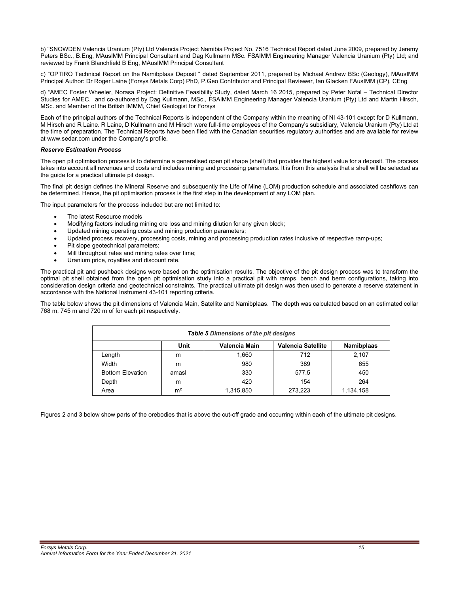b) "SNOWDEN Valencia Uranium (Pty) Ltd Valencia Project Namibia Project No. 7516 Technical Report dated June 2009, prepared by Jeremy Peters BSc., B.Eng, MAusIMM Principal Consultant and Dag Kullmann MSc. FSAIMM Engineering Manager Valencia Uranium (Pty) Ltd; and reviewed by Frank Blanchfield B Eng, MAusIMM Principal Consultant

c) "OPTIRO Technical Report on the Namibplaas Deposit " dated September 2011, prepared by Michael Andrew BSc (Geology), MAusIMM Principal Author: Dr Roger Laine (Forsys Metals Corp) PhD, P.Geo Contributor and Principal Reviewer, Ian Glacken FAusIMM (CP), CEng

d) "AMEC Foster Wheeler, Norasa Project: Definitive Feasibility Study, dated March 16 2015, prepared by Peter Nofal – Technical Director Studies for AMEC. and co-authored by Dag Kullmann, MSc., FSAIMM Engineering Manager Valencia Uranium (Pty) Ltd and Martin Hirsch, MSc. and Member of the British IMMM, Chief Geologist for Forsys

Each of the principal authors of the Technical Reports is independent of the Company within the meaning of NI 43-101 except for D Kullmann, M Hirsch and R Laine. R Laine, D Kullmann and M Hirsch were full-time employees of the Company's subsidiary, Valencia Uranium (Pty) Ltd at the time of preparation. The Technical Reports have been filed with the Canadian securities regulatory authorities and are available for review at www.sedar.com under the Company's profile.

# *Reserve Estimation Process*

The open pit optimisation process is to determine a generalised open pit shape (shell) that provides the highest value for a deposit. The process takes into account all revenues and costs and includes mining and processing parameters. It is from this analysis that a shell will be selected as the guide for a practical ultimate pit design.

The final pit design defines the Mineral Reserve and subsequently the Life of Mine (LOM) production schedule and associated cashflows can be determined. Hence, the pit optimisation process is the first step in the development of any LOM plan.

The input parameters for the process included but are not limited to:

- The latest Resource models
- Modifying factors including mining ore loss and mining dilution for any given block;
- Updated mining operating costs and mining production parameters;
- Updated process recovery, processing costs, mining and processing production rates inclusive of respective ramp-ups;
- Pit slope geotechnical parameters;
- Mill throughput rates and mining rates over time;
- Uranium price, royalties and discount rate.

The practical pit and pushback designs were based on the optimisation results. The objective of the pit design process was to transform the optimal pit shell obtained from the open pit optimisation study into a practical pit with ramps, bench and berm configurations, taking into consideration design criteria and geotechnical constraints. The practical ultimate pit design was then used to generate a reserve statement in accordance with the National Instrument 43-101 reporting criteria.

The table below shows the pit dimensions of Valencia Main, Satellite and Namibplaas. The depth was calculated based on an estimated collar 768 m, 745 m and 720 m of for each pit respectively.

| Table 5 Dimensions of the pit designs                            |                |           |         |           |  |
|------------------------------------------------------------------|----------------|-----------|---------|-----------|--|
| Valencia Main<br>Valencia Satellite<br>Unit<br><b>Namibplaas</b> |                |           |         |           |  |
| Length                                                           | m              | 1.660     | 712     | 2,107     |  |
| Width                                                            | m              | 980       | 389     | 655       |  |
| <b>Bottom Elevation</b>                                          | amasl          | 330       | 577.5   | 450       |  |
| Depth                                                            | m              | 420       | 154     | 264       |  |
| Area                                                             | m <sup>2</sup> | 1,315,850 | 273,223 | 1,134,158 |  |

Figures 2 and 3 below show parts of the orebodies that is above the cut-off grade and occurring within each of the ultimate pit designs.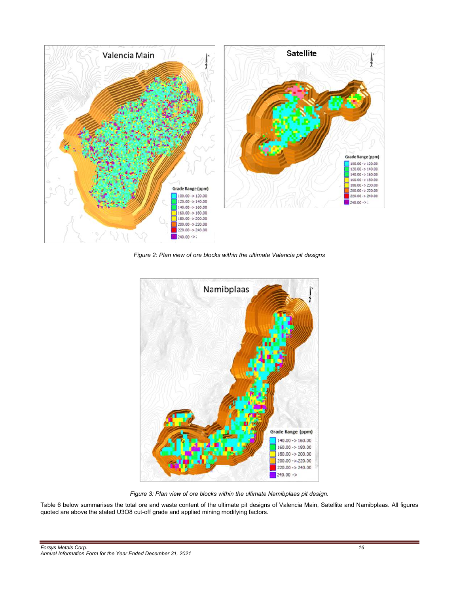

*Figure 2: Plan view of ore blocks within the ultimate Valencia pit designs* 



*Figure 3: Plan view of ore blocks within the ultimate Namibplaas pit design.* 

Table 6 below summarises the total ore and waste content of the ultimate pit designs of Valencia Main, Satellite and Namibplaas. All figures quoted are above the stated U3O8 cut-off grade and applied mining modifying factors.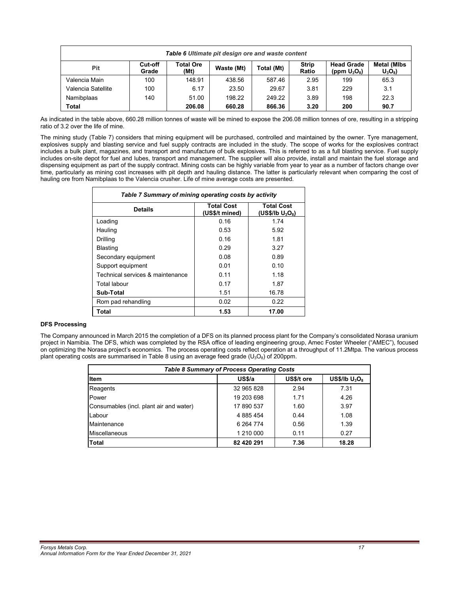| Table 6 Ultimate pit design ore and waste content |                  |                   |            |            |                       |                                      |                                |
|---------------------------------------------------|------------------|-------------------|------------|------------|-----------------------|--------------------------------------|--------------------------------|
| Pit                                               | Cut-off<br>Grade | Total Ore<br>(Mt) | Waste (Mt) | Total (Mt) | <b>Strip</b><br>Ratio | <b>Head Grade</b><br>(ppm $U_3O_8$ ) | <b>Metal (MIbs</b><br>$U_3O_8$ |
| Valencia Main                                     | 100              | 148.91            | 438.56     | 587.46     | 2.95                  | 199                                  | 65.3                           |
| Valencia Satellite                                | 100              | 6.17              | 23.50      | 29.67      | 3.81                  | 229                                  | 3.1                            |
| Namibplaas                                        | 140              | 51.00             | 198.22     | 249.22     | 3.89                  | 198                                  | 22.3                           |
| Total                                             |                  | 206.08            | 660.28     | 866.36     | 3.20                  | 200                                  | 90.7                           |

As indicated in the table above, 660.28 million tonnes of waste will be mined to expose the 206.08 million tonnes of ore, resulting in a stripping ratio of 3.2 over the life of mine.

The mining study (Table 7) considers that mining equipment will be purchased, controlled and maintained by the owner. Tyre management, explosives supply and blasting service and fuel supply contracts are included in the study. The scope of works for the explosives contract includes a bulk plant, magazines, and transport and manufacture of bulk explosives. This is referred to as a full blasting service. Fuel supply includes on-site depot for fuel and lubes, transport and management. The supplier will also provide, install and maintain the fuel storage and dispensing equipment as part of the supply contract. Mining costs can be highly variable from year to year as a number of factors change over time, particularly as mining cost increases with pit depth and hauling distance. The latter is particularly relevant when comparing the cost of hauling ore from Namibplaas to the Valencia crusher. Life of mine average costs are presented.

| Table 7 Summary of mining operating costs by activity |                                     |                                          |  |  |
|-------------------------------------------------------|-------------------------------------|------------------------------------------|--|--|
| <b>Details</b>                                        | <b>Total Cost</b><br>(US\$/t mined) | <b>Total Cost</b><br>(US\$/Ib $U_3O_8$ ) |  |  |
| Loading                                               | 0.16                                | 1.74                                     |  |  |
| Hauling                                               | 0.53                                | 5.92                                     |  |  |
| Drilling                                              | 0.16                                | 1.81                                     |  |  |
| <b>Blasting</b>                                       | 0.29                                | 3.27                                     |  |  |
| Secondary equipment                                   | 0.08                                | 0.89                                     |  |  |
| Support equipment                                     | 0.01                                | 0.10                                     |  |  |
| Technical services & maintenance                      | 0.11                                | 1.18                                     |  |  |
| Total labour                                          | 0.17                                | 1.87                                     |  |  |
| Sub-Total                                             | 1.51                                | 16.78                                    |  |  |
| Rom pad rehandling                                    | 0.02                                | 0.22                                     |  |  |
| Total                                                 | 1.53                                | 17.00                                    |  |  |

# **DFS Processing**

The Company announced in March 2015 the completion of a DFS on its planned process plant for the Company's consolidated Norasa uranium project in Namibia. The DFS, which was completed by the RSA office of leading engineering group, Amec Foster Wheeler ("AMEC"), focused on optimizing the Norasa project's economics. The process operating costs reflect operation at a throughput of 11.2Mtpa. The various process plant operating costs are summarised in Table 8 using an average feed grade ( $U_3O_8$ ) of 200ppm.

| <b>Table 8 Summary of Process Operating Costs</b> |                    |            |                  |  |  |
|---------------------------------------------------|--------------------|------------|------------------|--|--|
| <b>Item</b>                                       | US <sub>5</sub> /a | US\$/t ore | US\$/lb $U_3O_8$ |  |  |
| Reagents                                          | 32 965 828         | 2.94       | 7.31             |  |  |
| Power                                             | 19 203 698         | 1.71       | 4.26             |  |  |
| Consumables (incl. plant air and water)           | 17 890 537         | 1.60       | 3.97             |  |  |
| Labour                                            | 4 885 454          | 0.44       | 1.08             |  |  |
| Maintenance                                       | 6 2 64 7 74        | 0.56       | 1.39             |  |  |
| <b>Miscellaneous</b>                              | 1 210 000          | 0.11       | 0.27             |  |  |
| Total                                             | 82 420 291         | 7.36       | 18.28            |  |  |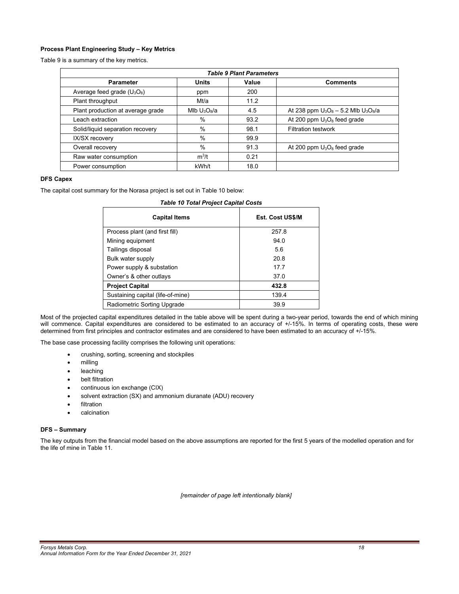# **Process Plant Engineering Study – Key Metrics**

Table 9 is a summary of the key metrics.

| <b>Table 9 Plant Parameters</b>   |                |       |                                          |  |  |
|-----------------------------------|----------------|-------|------------------------------------------|--|--|
| <b>Parameter</b>                  | <b>Units</b>   | Value | <b>Comments</b>                          |  |  |
| Average feed grade $(U_3O_8)$     | ppm            | 200   |                                          |  |  |
| Plant throughput                  | Mt/a           | 11.2  |                                          |  |  |
| Plant production at average grade | Mlb $U_3O_8/a$ | 4.5   | At 238 ppm $U_3O_8 - 5.2$ Mlb $U_3O_8/a$ |  |  |
| Leach extraction                  | $\%$           | 93.2  | At 200 ppm $U_3O_8$ feed grade           |  |  |
| Solid/liquid separation recovery  | $\%$           | 98.1  | <b>Filtration testwork</b>               |  |  |
| IX/SX recovery                    | %              | 99.9  |                                          |  |  |
| Overall recovery                  | %              | 91.3  | At 200 ppm $U_3O_8$ feed grade           |  |  |
| Raw water consumption             | $m^3/t$        | 0.21  |                                          |  |  |
| Power consumption                 | kWh/t          | 18.0  |                                          |  |  |

# **DFS Capex**

The capital cost summary for the Norasa project is set out in Table 10 below:

|  |  | <b>Table 10 Total Project Capital Costs</b> |  |
|--|--|---------------------------------------------|--|
|  |  |                                             |  |

| <b>Capital Items</b>              | <b>Est. Cost US\$/M</b> |
|-----------------------------------|-------------------------|
| Process plant (and first fill)    | 257.8                   |
| Mining equipment                  | 94.0                    |
| Tailings disposal                 | 5.6                     |
| Bulk water supply                 | 20.8                    |
| Power supply & substation         | 177                     |
| Owner's & other outlays           | 37.0                    |
| <b>Project Capital</b>            | 432.8                   |
| Sustaining capital (life-of-mine) | 139.4                   |
| Radiometric Sorting Upgrade       | 39.9                    |

Most of the projected capital expenditures detailed in the table above will be spent during a two-year period, towards the end of which mining will commence. Capital expenditures are considered to be estimated to an accuracy of +/-15%. In terms of operating costs, these were determined from first principles and contractor estimates and are considered to have been estimated to an accuracy of +/-15%.

The base case processing facility comprises the following unit operations:

- crushing, sorting, screening and stockpiles
- milling
- leaching
- belt filtration
- continuous ion exchange (CIX)
- solvent extraction (SX) and ammonium diuranate (ADU) recovery
- filtration
- calcination

# **DFS – Summary**

The key outputs from the financial model based on the above assumptions are reported for the first 5 years of the modelled operation and for the life of mine in Table 11.

*[remainder of page left intentionally blank]*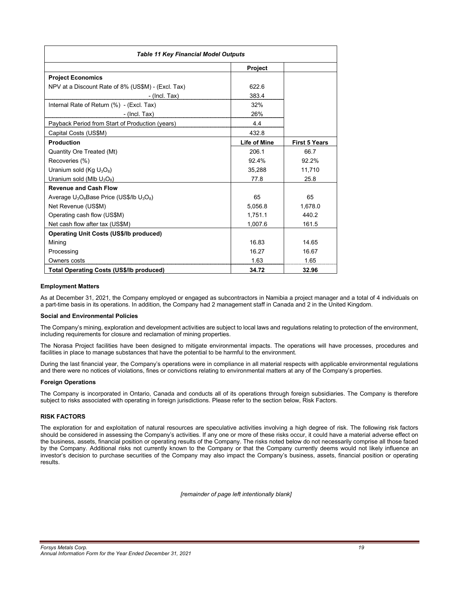| <b>Table 11 Key Financial Model Outputs</b>        |                     |                      |  |  |
|----------------------------------------------------|---------------------|----------------------|--|--|
|                                                    | <b>Project</b>      |                      |  |  |
| <b>Project Economics</b>                           |                     |                      |  |  |
| NPV at a Discount Rate of 8% (US\$M) - (Excl. Tax) | 622.6               |                      |  |  |
| $-$ (Incl. Tax)                                    | 383.4               |                      |  |  |
| Internal Rate of Return (%) - (Excl. Tax)          | 32%                 |                      |  |  |
| $-$ (Incl. Tax)                                    | 26%                 |                      |  |  |
| Payback Period from Start of Production (years)    | 4.4                 |                      |  |  |
| Capital Costs (US\$M)                              | 432.8               |                      |  |  |
| Production                                         | <b>Life of Mine</b> | <b>First 5 Years</b> |  |  |
| Quantity Ore Treated (Mt)                          | 206.1               | 66.7                 |  |  |
| Recoveries (%)                                     | 92.4%               | 92.2%                |  |  |
| Uranium sold ( $Kg U_3O_8$ )                       | 35.288              | 11,710               |  |  |
| Uranium sold (Mlb $U_3O_8$ )                       | 77.8                | 25.8                 |  |  |
| <b>Revenue and Cash Flow</b>                       |                     |                      |  |  |
| Average $U_3O_8$ Base Price (US\$/lb $U_3O_8$ )    | 65                  | 65                   |  |  |
| Net Revenue (US\$M)                                | 5,056.8             | 1,678.0              |  |  |
| Operating cash flow (US\$M)                        | 1,751.1             | 440.2                |  |  |
| Net cash flow after tax (US\$M)                    | 1,007.6             | 161.5                |  |  |
| <b>Operating Unit Costs (US\$/lb produced)</b>     |                     |                      |  |  |
| Mining                                             | 16.83               | 14.65                |  |  |
| Processing                                         | 16.27               | 16.67                |  |  |
| Owners costs                                       | 1.63                | 1.65                 |  |  |
| <b>Total Operating Costs (US\$/Ib produced)</b>    | 34.72               | 32.96                |  |  |

# **Employment Matters**

As at December 31, 2021, the Company employed or engaged as subcontractors in Namibia a project manager and a total of 4 individuals on a part-time basis in its operations. In addition, the Company had 2 management staff in Canada and 2 in the United Kingdom.

#### **Social and Environmental Policies**

The Company's mining, exploration and development activities are subject to local laws and regulations relating to protection of the environment, including requirements for closure and reclamation of mining properties.

The Norasa Project facilities have been designed to mitigate environmental impacts. The operations will have processes, procedures and facilities in place to manage substances that have the potential to be harmful to the environment.

During the last financial year, the Company's operations were in compliance in all material respects with applicable environmental regulations and there were no notices of violations, fines or convictions relating to environmental matters at any of the Company's properties.

# **Foreign Operations**

The Company is incorporated in Ontario, Canada and conducts all of its operations through foreign subsidiaries. The Company is therefore subject to risks associated with operating in foreign jurisdictions. Please refer to the section below, Risk Factors.

# **RISK FACTORS**

The exploration for and exploitation of natural resources are speculative activities involving a high degree of risk. The following risk factors should be considered in assessing the Company's activities. If any one or more of these risks occur, it could have a material adverse effect on the business, assets, financial position or operating results of the Company. The risks noted below do not necessarily comprise all those faced by the Company. Additional risks not currently known to the Company or that the Company currently deems would not likely influence an investor's decision to purchase securities of the Company may also impact the Company's business, assets, financial position or operating results.

*[remainder of page left intentionally blank]*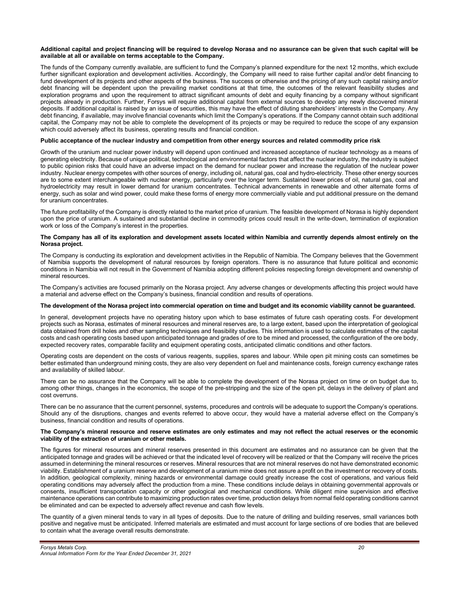#### **Additional capital and project financing will be required to develop Norasa and no assurance can be given that such capital will be available at all or available on terms acceptable to the Company.**

The funds of the Company currently available, are sufficient to fund the Company's planned expenditure for the next 12 months, which exclude further significant exploration and development activities. Accordingly, the Company will need to raise further capital and/or debt financing to fund development of its projects and other aspects of the business. The success or otherwise and the pricing of any such capital raising and/or debt financing will be dependent upon the prevailing market conditions at that time, the outcomes of the relevant feasibility studies and exploration programs and upon the requirement to attract significant amounts of debt and equity financing by a company without significant projects already in production. Further, Forsys will require additional capital from external sources to develop any newly discovered mineral deposits. If additional capital is raised by an issue of securities, this may have the effect of diluting shareholders' interests in the Company. Any debt financing, if available, may involve financial covenants which limit the Company's operations. If the Company cannot obtain such additional capital, the Company may not be able to complete the development of its projects or may be required to reduce the scope of any expansion which could adversely affect its business, operating results and financial condition.

# **Public acceptance of the nuclear industry and competition from other energy sources and related commodity price risk**

Growth of the uranium and nuclear power industry will depend upon continued and increased acceptance of nuclear technology as a means of generating electricity. Because of unique political, technological and environmental factors that affect the nuclear industry, the industry is subject to public opinion risks that could have an adverse impact on the demand for nuclear power and increase the regulation of the nuclear power industry. Nuclear energy competes with other sources of energy, including oil, natural gas, coal and hydro-electricity. These other energy sources are to some extent interchangeable with nuclear energy, particularly over the longer term. Sustained lower prices of oil, natural gas, coal and hydroelectricity may result in lower demand for uranium concentrates. Technical advancements in renewable and other alternate forms of energy, such as solar and wind power, could make these forms of energy more commercially viable and put additional pressure on the demand for uranium concentrates.

The future profitability of the Company is directly related to the market price of uranium. The feasible development of Norasa is highly dependent upon the price of uranium. A sustained and substantial decline in commodity prices could result in the write-down, termination of exploration work or loss of the Company's interest in the properties.

#### **The Company has all of its exploration and development assets located within Namibia and currently depends almost entirely on the Norasa project.**

The Company is conducting its exploration and development activities in the Republic of Namibia. The Company believes that the Government of Namibia supports the development of natural resources by foreign operators. There is no assurance that future political and economic conditions in Namibia will not result in the Government of Namibia adopting different policies respecting foreign development and ownership of mineral resources.

The Company's activities are focused primarily on the Norasa project. Any adverse changes or developments affecting this project would have a material and adverse effect on the Company's business, financial condition and results of operations.

#### **The development of the Norasa project into commercial operation on time and budget and its economic viability cannot be guaranteed.**

In general, development projects have no operating history upon which to base estimates of future cash operating costs. For development projects such as Norasa, estimates of mineral resources and mineral reserves are, to a large extent, based upon the interpretation of geological data obtained from drill holes and other sampling techniques and feasibility studies. This information is used to calculate estimates of the capital costs and cash operating costs based upon anticipated tonnage and grades of ore to be mined and processed, the configuration of the ore body, expected recovery rates, comparable facility and equipment operating costs, anticipated climatic conditions and other factors.

Operating costs are dependent on the costs of various reagents, supplies, spares and labour. While open pit mining costs can sometimes be better estimated than underground mining costs, they are also very dependent on fuel and maintenance costs, foreign currency exchange rates and availability of skilled labour.

There can be no assurance that the Company will be able to complete the development of the Norasa project on time or on budget due to, among other things, changes in the economics, the scope of the pre-stripping and the size of the open pit, delays in the delivery of plant and cost overruns.

There can be no assurance that the current personnel, systems, procedures and controls will be adequate to support the Company's operations. Should any of the disruptions, changes and events referred to above occur, they would have a material adverse effect on the Company's business, financial condition and results of operations.

#### **The Company's mineral resource and reserve estimates are only estimates and may not reflect the actual reserves or the economic viability of the extraction of uranium or other metals.**

The figures for mineral resources and mineral reserves presented in this document are estimates and no assurance can be given that the anticipated tonnage and grades will be achieved or that the indicated level of recovery will be realized or that the Company will receive the prices assumed in determining the mineral resources or reserves. Mineral resources that are not mineral reserves do not have demonstrated economic viability. Establishment of a uranium reserve and development of a uranium mine does not assure a profit on the investment or recovery of costs. In addition, geological complexity, mining hazards or environmental damage could greatly increase the cost of operations, and various field operating conditions may adversely affect the production from a mine. These conditions include delays in obtaining governmental approvals or consents, insufficient transportation capacity or other geological and mechanical conditions. While diligent mine supervision and effective maintenance operations can contribute to maximizing production rates over time, production delays from normal field operating conditions cannot be eliminated and can be expected to adversely affect revenue and cash flow levels.

The quantity of a given mineral tends to vary in all types of deposits. Due to the nature of drilling and building reserves, small variances both positive and negative must be anticipated. Inferred materials are estimated and must account for large sections of ore bodies that are believed to contain what the average overall results demonstrate.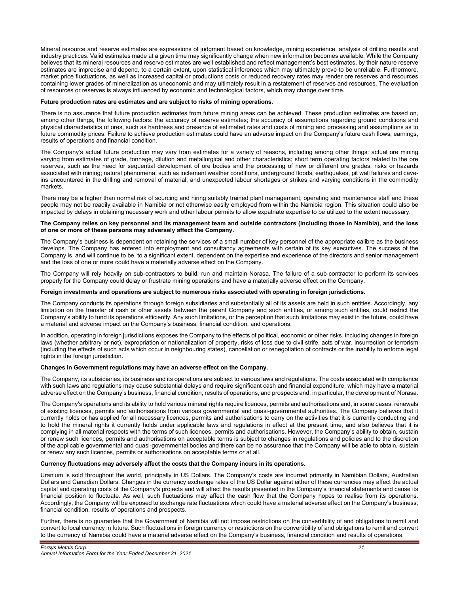Mineral resource and reserve estimates are expressions of judgment based on knowledge, mining experience, analysis of drilling results and industry practices. Valid estimates made at a given time may significantly change when new information becomes available. While the Company believes that its mineral resources and reserve estimates are well established and reflect management's best estimates, by their nature reserve estimates are imprecise and depend, to a certain extent, upon statistical inferences which may ultimately prove to be unreliable. Furthermore, market price fluctuations, as well as increased capital or productions costs or reduced recovery rates may render ore reserves and resources containing lower grades of mineralization as uneconomic and may ultimately result in a restatement of reserves and resources. The evaluation of resources or reserves is always influenced by economic and technological factors, which may change over time.

# **Future production rates are estimates and are subject to risks of mining operations.**

There is no assurance that future production estimates from future mining areas can be achieved. These production estimates are based on, among other things, the following factors: the accuracy of reserve estimates; the accuracy of assumptions regarding ground conditions and physical characteristics of ores, such as hardness and presence of estimated rates and costs of mining and processing and assumptions as to future commodity prices. Failure to achieve production estimates could have an adverse impact on the Company's future cash flows, earnings, results of operations and financial condition.

The Company's actual future production may vary from estimates for a variety of reasons, including among other things: actual ore mining varying from estimates of grade, tonnage, dilution and metallurgical and other characteristics; short term operating factors related to the ore reserves, such as the need for sequential development of ore bodies and the processing of new or different ore grades, risks or hazards associated with mining; natural phenomena, such as inclement weather conditions, underground floods, earthquakes, pit wall failures and caveins encountered in the drilling and removal of material; and unexpected labour shortages or strikes and varying conditions in the commodity markets.

There may be a higher than normal risk of sourcing and hiring suitably trained plant management, operating and maintenance staff and these people may not be readily available in Namibia or not otherwise easily employed from within the Namibia region. This situation could also be impacted by delays in obtaining necessary work and other labour permits to allow expatriate expertise to be utilized to the extent necessary.

# **The Company relies on key personnel and its management team and outside contractors (including those in Namibia), and the loss of one or more of these persons may adversely affect the Company.**

The Company's business is dependent on retaining the services of a small number of key personnel of the appropriate calibre as the business develops. The Company has entered into employment and consultancy agreements with certain of its key executives. The success of the Company is, and will continue to be, to a significant extent, dependent on the expertise and experience of the directors and senior management and the loss of one or more could have a materially adverse effect on the Company.

The Company will rely heavily on sub-contractors to build, run and maintain Norasa. The failure of a sub-contractor to perform its services properly for the Company could delay or frustrate mining operations and have a materially adverse effect on the Company.

# **Foreign investments and operations are subject to numerous risks associated with operating in foreign jurisdictions.**

The Company conducts its operations through foreign subsidiaries and substantially all of its assets are held in such entities. Accordingly, any limitation on the transfer of cash or other assets between the parent Company and such entities, or among such entities, could restrict the Company's ability to fund its operations efficiently. Any such limitations, or the perception that such limitations may exist in the future, could have a material and adverse impact on the Company's business, financial condition, and operations.

In addition, operating in foreign jurisdictions exposes the Company to the effects of political, economic or other risks, including changes in foreign laws (whether arbitrary or not), expropriation or nationalization of property, risks of loss due to civil strife, acts of war, insurrection or terrorism (including the effects of such acts which occur in neighbouring states), cancellation or renegotiation of contracts or the inability to enforce legal rights in the foreign jurisdiction.

#### **Changes in Government regulations may have an adverse effect on the Company.**

The Company, its subsidiaries, its business and its operations are subject to various laws and regulations. The costs associated with compliance with such laws and regulations may cause substantial delays and require significant cash and financial expenditure, which may have a material adverse effect on the Company's business, financial condition, results of operations, and prospects and, in particular, the development of Norasa.

The Company's operations and its ability to hold various mineral rights require licences, permits and authorisations and, in some cases, renewals of existing licences, permits and authorisations from various governmental and quasi-governmental authorities. The Company believes that it currently holds or has applied for all necessary licences, permits and authorisations to carry on the activities that it is currently conducting and to hold the mineral rights it currently holds under applicable laws and regulations in effect at the present time, and also believes that it is complying in all material respects with the terms of such licences, permits and authorisations. However, the Company's ability to obtain, sustain or renew such licences, permits and authorisations on acceptable terms is subject to changes in regulations and policies and to the discretion of the applicable governmental and quasi-governmental bodies and there can be no assurance that the Company will be able to obtain, sustain or renew any such licences, permits or authorisations on acceptable terms or at all.

#### **Currency fluctuations may adversely affect the costs that the Company incurs in its operations.**

Uranium is sold throughout the world, principally in US Dollars. The Company's costs are incurred primarily in Namibian Dollars, Australian Dollars and Canadian Dollars. Changes in the currency exchange rates of the US Dollar against either of these currencies may affect the actual capital and operating costs of the Company's projects and will affect the results presented in the Company's financial statements and cause its financial position to fluctuate. As well, such fluctuations may affect the cash flow that the Company hopes to realise from its operations. Accordingly, the Company will be exposed to exchange rate fluctuations which could have a material adverse effect on the Company's business, financial condition, results of operations and prospects.

Further, there is no guarantee that the Government of Namibia will not impose restrictions on the convertibility of and obligations to remit and convert to local currency in future. Such fluctuations in foreign currency or restrictions on the convertibility of and obligations to remit and convert to the currency of Namibia could have a material adverse effect on the Company's business, financial condition and results of operations.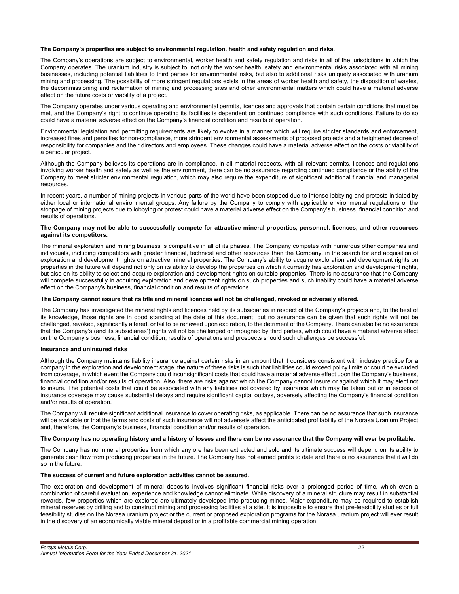# **The Company's properties are subject to environmental regulation, health and safety regulation and risks.**

The Company's operations are subject to environmental, worker health and safety regulation and risks in all of the jurisdictions in which the Company operates. The uranium industry is subject to, not only the worker health, safety and environmental risks associated with all mining businesses, including potential liabilities to third parties for environmental risks, but also to additional risks uniquely associated with uranium mining and processing. The possibility of more stringent regulations exists in the areas of worker health and safety, the disposition of wastes, the decommissioning and reclamation of mining and processing sites and other environmental matters which could have a material adverse effect on the future costs or viability of a project.

The Company operates under various operating and environmental permits, licences and approvals that contain certain conditions that must be met, and the Company's right to continue operating its facilities is dependent on continued compliance with such conditions. Failure to do so could have a material adverse effect on the Company's financial condition and results of operation.

Environmental legislation and permitting requirements are likely to evolve in a manner which will require stricter standards and enforcement, increased fines and penalties for non-compliance, more stringent environmental assessments of proposed projects and a heightened degree of responsibility for companies and their directors and employees. These changes could have a material adverse effect on the costs or viability of a particular project.

Although the Company believes its operations are in compliance, in all material respects, with all relevant permits, licences and regulations involving worker health and safety as well as the environment, there can be no assurance regarding continued compliance or the ability of the Company to meet stricter environmental regulation, which may also require the expenditure of significant additional financial and managerial resources.

In recent years, a number of mining projects in various parts of the world have been stopped due to intense lobbying and protests initiated by either local or international environmental groups. Any failure by the Company to comply with applicable environmental regulations or the stoppage of mining projects due to lobbying or protest could have a material adverse effect on the Company's business, financial condition and results of operations.

#### **The Company may not be able to successfully compete for attractive mineral properties, personnel, licences, and other resources against its competitors.**

The mineral exploration and mining business is competitive in all of its phases. The Company competes with numerous other companies and individuals, including competitors with greater financial, technical and other resources than the Company, in the search for and acquisition of exploration and development rights on attractive mineral properties. The Company's ability to acquire exploration and development rights on properties in the future will depend not only on its ability to develop the properties on which it currently has exploration and development rights, but also on its ability to select and acquire exploration and development rights on suitable properties. There is no assurance that the Company will compete successfully in acquiring exploration and development rights on such properties and such inability could have a material adverse effect on the Company's business, financial condition and results of operations.

#### **The Company cannot assure that its title and mineral licences will not be challenged, revoked or adversely altered.**

The Company has investigated the mineral rights and licences held by its subsidiaries in respect of the Company's projects and, to the best of its knowledge, those rights are in good standing at the date of this document, but no assurance can be given that such rights will not be challenged, revoked, significantly altered, or fail to be renewed upon expiration, to the detriment of the Company. There can also be no assurance that the Company's (and its subsidiaries') rights will not be challenged or impugned by third parties, which could have a material adverse effect on the Company's business, financial condition, results of operations and prospects should such challenges be successful.

#### **Insurance and uninsured risks**

Although the Company maintains liability insurance against certain risks in an amount that it considers consistent with industry practice for a company in the exploration and development stage, the nature of these risks is such that liabilities could exceed policy limits or could be excluded from coverage, in which event the Company could incur significant costs that could have a material adverse effect upon the Company's business, financial condition and/or results of operation. Also, there are risks against which the Company cannot insure or against which it may elect not to insure. The potential costs that could be associated with any liabilities not covered by insurance which may be taken out or in excess of insurance coverage may cause substantial delays and require significant capital outlays, adversely affecting the Company's financial condition and/or results of operation.

The Company will require significant additional insurance to cover operating risks, as applicable. There can be no assurance that such insurance will be available or that the terms and costs of such insurance will not adversely affect the anticipated profitability of the Norasa Uranium Project and, therefore, the Company's business, financial condition and/or results of operation.

#### **The Company has no operating history and a history of losses and there can be no assurance that the Company will ever be profitable.**

The Company has no mineral properties from which any ore has been extracted and sold and its ultimate success will depend on its ability to generate cash flow from producing properties in the future. The Company has not earned profits to date and there is no assurance that it will do so in the future.

#### **The success of current and future exploration activities cannot be assured.**

The exploration and development of mineral deposits involves significant financial risks over a prolonged period of time, which even a combination of careful evaluation, experience and knowledge cannot eliminate. While discovery of a mineral structure may result in substantial rewards, few properties which are explored are ultimately developed into producing mines. Major expenditure may be required to establish mineral reserves by drilling and to construct mining and processing facilities at a site. It is impossible to ensure that pre-feasibility studies or full feasibility studies on the Norasa uranium project or the current or proposed exploration programs for the Norasa uranium project will ever result in the discovery of an economically viable mineral deposit or in a profitable commercial mining operation.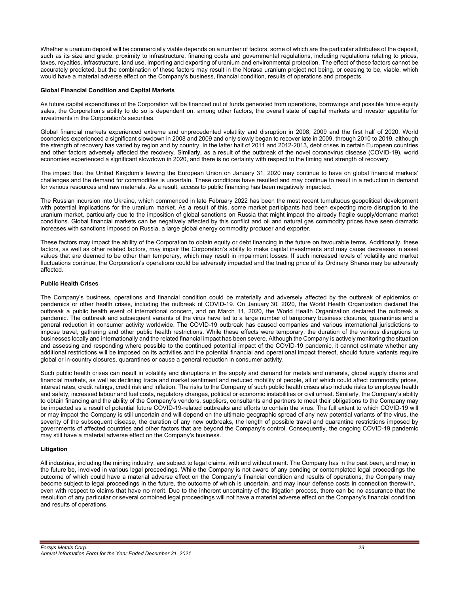Whether a uranium deposit will be commercially viable depends on a number of factors, some of which are the particular attributes of the deposit, such as its size and grade, proximity to infrastructure, financing costs and governmental regulations, including regulations relating to prices, taxes, royalties, infrastructure, land use, importing and exporting of uranium and environmental protection. The effect of these factors cannot be accurately predicted, but the combination of these factors may result in the Norasa uranium project not being, or ceasing to be, viable, which would have a material adverse effect on the Company's business, financial condition, results of operations and prospects.

# **Global Financial Condition and Capital Markets**

As future capital expenditures of the Corporation will be financed out of funds generated from operations, borrowings and possible future equity sales, the Corporation's ability to do so is dependent on, among other factors, the overall state of capital markets and investor appetite for investments in the Corporation's securities.

Global financial markets experienced extreme and unprecedented volatility and disruption in 2008, 2009 and the first half of 2020. World economies experienced a significant slowdown in 2008 and 2009 and only slowly began to recover late in 2009, through 2010 to 2019, although the strength of recovery has varied by region and by country. In the latter half of 2011 and 2012-2013, debt crises in certain European countries and other factors adversely affected the recovery. Similarly, as a result of the outbreak of the novel coronavirus disease (COVID-19), world economies experienced a significant slowdown in 2020, and there is no certainty with respect to the timing and strength of recovery.

The impact that the United Kingdom's leaving the European Union on January 31, 2020 may continue to have on global financial markets' challenges and the demand for commodities is uncertain. These conditions have resulted and may continue to result in a reduction in demand for various resources and raw materials. As a result, access to public financing has been negatively impacted.

The Russian incursion into Ukraine, which commenced in late February 2022 has been the most recent tumultuous geopolitical development with potential implications for the uranium market. As a result of this, some market participants had been expecting more disruption to the uranium market, particularly due to the imposition of global sanctions on Russia that might impact the already fragile supply/demand market conditions. Global financial markets can be negatively affected by this conflict and oil and natural gas commodity prices have seen dramatic increases with sanctions imposed on Russia, a large global energy commodity producer and exporter.

These factors may impact the ability of the Corporation to obtain equity or debt financing in the future on favourable terms. Additionally, these factors, as well as other related factors, may impair the Corporation's ability to make capital investments and may cause decreases in asset values that are deemed to be other than temporary, which may result in impairment losses. If such increased levels of volatility and market fluctuations continue, the Corporation's operations could be adversely impacted and the trading price of its Ordinary Shares may be adversely affected.

# **Public Health Crises**

The Company's business, operations and financial condition could be materially and adversely affected by the outbreak of epidemics or pandemics or other health crises, including the outbreak of COVID-19. On January 30, 2020, the World Health Organization declared the outbreak a public health event of international concern, and on March 11, 2020, the World Health Organization declared the outbreak a pandemic. The outbreak and subsequent variants of the virus have led to a large number of temporary business closures, quarantines and a general reduction in consumer activity worldwide. The COVID-19 outbreak has caused companies and various international jurisdictions to impose travel, gathering and other public health restrictions. While these effects were temporary, the duration of the various disruptions to businesses locally and internationally and the related financial impact has been severe. Although the Company is actively monitoring the situation and assessing and responding where possible to the continued potential impact of the COVID-19 pandemic, it cannot estimate whether any additional restrictions will be imposed on its activities and the potential financial and operational impact thereof, should future variants require global or in-country closures, quarantines or cause a general reduction in consumer activity.

Such public health crises can result in volatility and disruptions in the supply and demand for metals and minerals, global supply chains and financial markets, as well as declining trade and market sentiment and reduced mobility of people, all of which could affect commodity prices, interest rates, credit ratings, credit risk and inflation. The risks to the Company of such public health crises also include risks to employee health and safety, increased labour and fuel costs, regulatory changes, political or economic instabilities or civil unrest. Similarly, the Company's ability to obtain financing and the ability of the Company's vendors, suppliers, consultants and partners to meet their obligations to the Company may be impacted as a result of potential future COVID-19-related outbreaks and efforts to contain the virus. The full extent to which COVID-19 will or may impact the Company is still uncertain and will depend on the ultimate geographic spread of any new potential variants of the virus, the severity of the subsequent disease, the duration of any new outbreaks, the length of possible travel and quarantine restrictions imposed by governments of affected countries and other factors that are beyond the Company's control. Consequently, the ongoing COVID-19 pandemic may still have a material adverse effect on the Company's business.

# **Litigation**

All industries, including the mining industry, are subject to legal claims, with and without merit. The Company has in the past been, and may in the future be, involved in various legal proceedings. While the Company is not aware of any pending or contemplated legal proceedings the outcome of which could have a material adverse effect on the Company's financial condition and results of operations, the Company may become subject to legal proceedings in the future, the outcome of which is uncertain, and may incur defense costs in connection therewith, even with respect to claims that have no merit. Due to the inherent uncertainty of the litigation process, there can be no assurance that the resolution of any particular or several combined legal proceedings will not have a material adverse effect on the Company's financial condition and results of operations.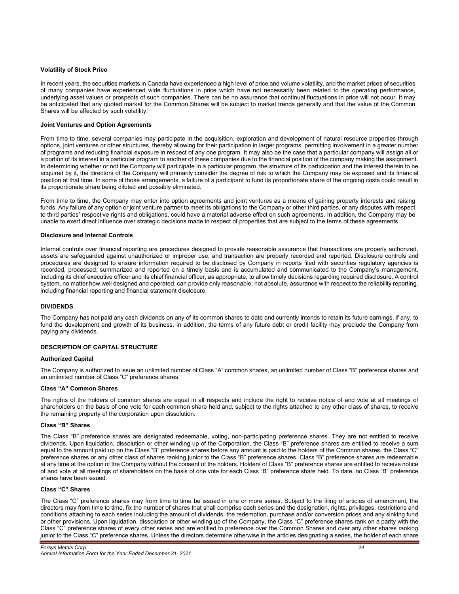# **Volatility of Stock Price**

In recent years, the securities markets in Canada have experienced a high level of price and volume volatility, and the market prices of securities of many companies have experienced wide fluctuations in price which have not necessarily been related to the operating performance, underlying asset values or prospects of such companies. There can be no assurance that continual fluctuations in price will not occur. It may be anticipated that any quoted market for the Common Shares will be subject to market trends generally and that the value of the Common Shares will be affected by such volatility.

#### **Joint Ventures and Option Agreements**

From time to time, several companies may participate in the acquisition, exploration and development of natural resource properties through options, joint ventures or other structures, thereby allowing for their participation in larger programs, permitting involvement in a greater number of programs and reducing financial exposure in respect of any one program. It may also be the case that a particular company will assign all or a portion of its interest in a particular program to another of these companies due to the financial position of the company making the assignment. In determining whether or not the Company will participate in a particular program, the structure of its participation and the interest therein to be acquired by it, the directors of the Company will primarily consider the degree of risk to which the Company may be exposed and its financial position at that time. In some of those arrangements, a failure of a participant to fund its proportionate share of the ongoing costs could result in its proportionate share being diluted and possibly eliminated.

From time to time, the Company may enter into option agreements and joint ventures as a means of gaining property interests and raising funds. Any failure of any option or joint venture partner to meet its obligations to the Company or other third parties, or any disputes with respect to third parties' respective rights and obligations, could have a material adverse effect on such agreements. In addition, the Company may be unable to exert direct influence over strategic decisions made in respect of properties that are subject to the terms of these agreements.

#### **Disclosure and Internal Controls**

Internal controls over financial reporting are procedures designed to provide reasonable assurance that transactions are properly authorized, assets are safeguarded against unauthorized or improper use, and transaction are properly recorded and reported. Disclosure controls and procedures are designed to ensure information required to be disclosed by Company in reports filed with securities regulatory agencies is recorded, processed, summarized and reported on a timely basis and is accumulated and communicated to the Company's management, including its chief executive officer and its chief financial officer, as appropriate, to allow timely decisions regarding required disclosure. A control system, no matter how well designed and operated, can provide only reasonable, not absolute, assurance with respect to the reliability reporting, including financial reporting and financial statement disclosure.

# **DIVIDENDS**

The Company has not paid any cash dividends on any of its common shares to date and currently intends to retain its future earnings, if any, to fund the development and growth of its business. In addition, the terms of any future debt or credit facility may preclude the Company from paying any dividends.

# **DESCRIPTION OF CAPITAL STRUCTURE**

# **Authorized Capital**

The Company is authorized to issue an unlimited number of Class "A" common shares, an unlimited number of Class "B" preference shares and an unlimited number of Class "C" preference shares.

#### **Class "A" Common Shares**

The rights of the holders of common shares are equal in all respects and include the right to receive notice of and vote at all meetings of shareholders on the basis of one vote for each common share held and, subject to the rights attached to any other class of shares, to receive the remaining property of the corporation upon dissolution.

#### **Class "B" Shares**

The Class "B" preference shares are designated redeemable, voting, non-participating preference shares. They are not entitled to receive dividends. Upon liquidation, dissolution or other winding up of the Corporation, the Class "B" preference shares are entitled to receive a sum equal to the amount paid up on the Class "B" preference shares before any amount is paid to the holders of the Common shares, the Class "C" preference shares or any other class of shares ranking junior to the Class "B" preference shares. Class "B" preference shares are redeemable at any time at the option of the Company without the consent of the holders. Holders of Class "B" preference shares are entitled to receive notice of and vote at all meetings of shareholders on the basis of one vote for each Class "B" preference share held. To date, no Class "B" preference shares have been issued.

#### **Class "C" Shares**

The Class "C" preference shares may from time to time be issued in one or more series. Subject to the filing of articles of amendment, the directors may from time to time, fix the number of shares that shall comprise each series and the designation, rights, privileges, restrictions and conditions attaching to each series including the amount of dividends, the redemption, purchase and/or conversion prices and any sinking fund or other provisions. Upon liquidation, dissolution or other winding up of the Company, the Class "C" preference shares rank on a parity with the Class "C" preference shares of every other series and are entitled to preference over the Common Shares and over any other shares ranking junior to the Class "C" preference shares. Unless the directors determine otherwise in the articles designating a series, the holder of each share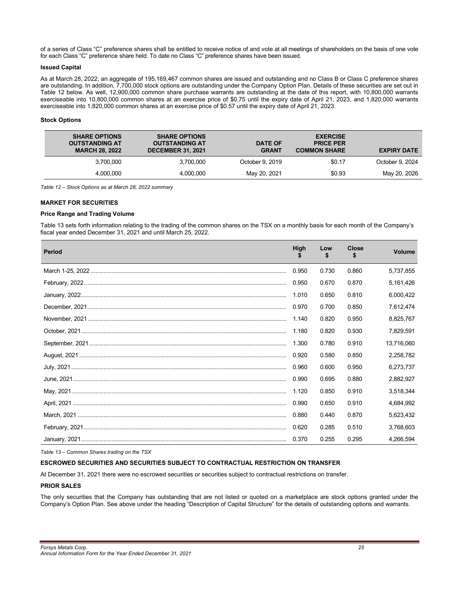of a series of Class "C" preference shares shall be entitled to receive notice of and vote at all meetings of shareholders on the basis of one vote for each Class "C" preference share held. To date no Class "C" preference shares have been issued.

# **Issued Capital**

As at March 28, 2022, an aggregate of 195,169,467 common shares are issued and outstanding and no Class B or Class C preference shares are outstanding. In addition, 7,700,000 stock options are outstanding under the Company Option Plan. Details of these securities are set out in Table 12 below. As well, 12,900,000 common share purchase warrants are outstanding at the date of this report, with 10,800,000 warrants exerciseable into 10,800,000 common shares at an exercise price of \$0.75 until the expiry date of April 21, 2023, and 1,820,000 warrants exerciseable into 1,820,000 common shares at an exercise price of \$0.57 until the expiry date of April 21, 2023.

# **Stock Options**

| <b>EXPIRY DATE</b> | <b>EXERCISE</b><br><b>PRICE PER</b><br><b>COMMON SHARE</b> | <b>DATE OF</b><br><b>GRANT</b> | <b>SHARE OPTIONS</b><br><b>OUTSTANDING AT</b><br><b>DECEMBER 31, 2021</b> | <b>SHARE OPTIONS</b><br><b>OUTSTANDING AT</b><br><b>MARCH 28, 2022</b> |
|--------------------|------------------------------------------------------------|--------------------------------|---------------------------------------------------------------------------|------------------------------------------------------------------------|
| October 9, 2024    | \$0.17                                                     | October 9, 2019                | 3.700.000                                                                 | 3.700.000                                                              |
| May 20, 2026       | \$0.93                                                     | May 20, 2021                   | 4.000.000                                                                 | 4.000.000                                                              |

*Table 12 – Stock Options as at March 28, 2022 summary*

# **MARKET FOR SECURITIES**

# **Price Range and Trading Volume**

Table 13 sets forth information relating to the trading of the common shares on the TSX on a monthly basis for each month of the Company's fiscal year ended December 31, 2021 and until March 25, 2022.

| <b>Period</b> | High  | Low   | Close | <b>Volume</b> |
|---------------|-------|-------|-------|---------------|
|               | 0.950 | 0.730 | 0.860 | 5,737,855     |
|               | 0.950 | 0.670 | 0.870 | 5,161,426     |
|               | 1.010 | 0.650 | 0.810 | 6,000,422     |
|               | 0.970 | 0.700 | 0.850 | 7,612,474     |
|               | 1.140 | 0.820 | 0.950 | 8,825,767     |
|               | 1.180 | 0.820 | 0.930 | 7,829,591     |
|               | 1.300 | 0.780 | 0.910 | 13,716,060    |
|               | 0.920 | 0.580 | 0.850 | 2,258,782     |
|               | 0.960 | 0.600 | 0.950 | 6,273,737     |
|               | 0.990 | 0.695 | 0.880 | 2,882,927     |
|               | 1.120 | 0.850 | 0.910 | 3,518,344     |
|               | 0.990 | 0.650 | 0.910 | 4,684,992     |
|               | 0.880 | 0.440 | 0.870 | 5,623,432     |
|               | 0.620 | 0.285 | 0.510 | 3,768,603     |
|               | 0.370 | 0.255 | 0.295 | 4.266.594     |

*Table 13 – Common Shares trading on the TSX* 

# **ESCROWED SECURITIES AND SECURITIES SUBJECT TO CONTRACTUAL RESTRICTION ON TRANSFER**

At December 31, 2021 there were no escrowed securities or securities subject to contractual restrictions on transfer.

# **PRIOR SALES**

The only securities that the Company has outstanding that are not listed or quoted on a marketplace are stock options granted under the Company's Option Plan. See above under the heading "Description of Capital Structure" for the details of outstanding options and warrants.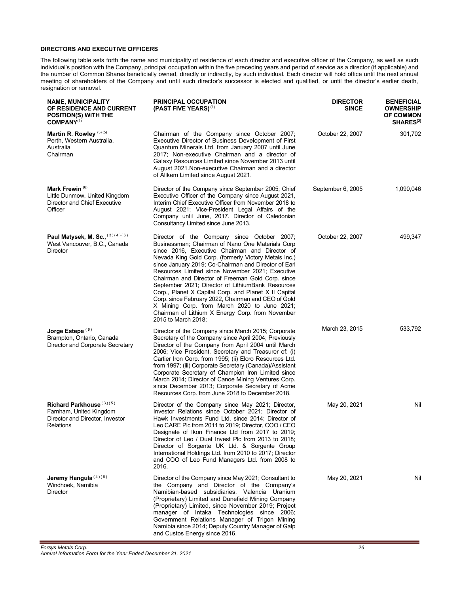# **DIRECTORS AND EXECUTIVE OFFICERS**

The following table sets forth the name and municipality of residence of each director and executive officer of the Company, as well as such individual's position with the Company, principal occupation within the five preceding years and period of service as a director (if applicable) and the number of Common Shares beneficially owned, directly or indirectly, by such individual. Each director will hold office until the next annual meeting of shareholders of the Company and until such director's successor is elected and qualified, or until the director's earlier death, resignation or removal.

| <b>NAME, MUNICIPALITY</b><br>OF RESIDENCE AND CURRENT<br><b>POSITION(S) WITH THE</b><br>COMPANY <sup>(1)</sup> | <b>PRINCIPAL OCCUPATION</b><br>(PAST FIVE YEARS) <sup>(1)</sup>                                                                                                                                                                                                                                                                                                                                                                                                                                                                                                                                                                                                             | <b>DIRECTOR</b><br><b>SINCE</b> | <b>BENEFICIAL</b><br><b>OWNERSHIP</b><br><b>OF COMMON</b><br>SHARES <sup>(2)</sup> |
|----------------------------------------------------------------------------------------------------------------|-----------------------------------------------------------------------------------------------------------------------------------------------------------------------------------------------------------------------------------------------------------------------------------------------------------------------------------------------------------------------------------------------------------------------------------------------------------------------------------------------------------------------------------------------------------------------------------------------------------------------------------------------------------------------------|---------------------------------|------------------------------------------------------------------------------------|
| Martin R. Rowley (3) (5)<br>Perth, Western Australia,<br>Australia<br>Chairman                                 | Chairman of the Company since October 2007;<br>Executive Director of Business Development of First<br>Quantum Minerals Ltd. from January 2007 until June<br>2017; Non-executive Chairman and a director of<br>Galaxy Resources Limited since November 2013 until<br>August 2021. Non-executive Chairman and a director<br>of Allkem Limited since August 2021.                                                                                                                                                                                                                                                                                                              | October 22, 2007                | 301,702                                                                            |
| Mark Frewin <sup>(6)</sup><br>Little Dunmow, United Kingdom<br>Director and Chief Executive<br>Officer         | Director of the Company since September 2005; Chief<br>Executive Officer of the Company since August 2021,<br>Interim Chief Executive Officer from November 2018 to<br>August 2021; Vice-President Legal Affairs of the<br>Company until June, 2017. Director of Caledonian<br>Consultancy Limited since June 2013.                                                                                                                                                                                                                                                                                                                                                         | September 6, 2005               | 1,090,046                                                                          |
| Paul Matysek, M. Sc., (3)(4)(6)<br>West Vancouver, B.C., Canada<br><b>Director</b>                             | Director of the Company since October 2007;<br>Businessman; Chairman of Nano One Materials Corp<br>since 2016, Executive Chairman and Director of<br>Nevada King Gold Corp. (formerly Victory Metals Inc.)<br>since January 2019; Co-Chairman and Director of Earl<br>Resources Limited since November 2021; Executive<br>Chairman and Director of Freeman Gold Corp. since<br>September 2021; Director of LithiumBank Resources<br>Corp., Planet X Capital Corp. and Planet X II Capital<br>Corp. since February 2022, Chairman and CEO of Gold<br>X Mining Corp. from March 2020 to June 2021;<br>Chairman of Lithium X Energy Corp. from November<br>2015 to March 2018; | October 22, 2007                | 499,347                                                                            |
| Jorge Estepa <sup>(6)</sup><br>Brampton, Ontario, Canada<br>Director and Corporate Secretary                   | Director of the Company since March 2015; Corporate<br>Secretary of the Company since April 2004; Previously<br>Director of the Company from April 2004 until March<br>2006; Vice President, Secretary and Treasurer of: (i)<br>Cartier Iron Corp. from 1995; (ii) Eloro Resources Ltd.<br>from 1997; (iii) Corporate Secretary (Canada)/Assistant<br>Corporate Secretary of Champion Iron Limited since<br>March 2014; Director of Canoe Mining Ventures Corp.<br>since December 2013; Corporate Secretary of Acme<br>Resources Corp. from June 2018 to December 2018.                                                                                                     | March 23, 2015                  | 533,792                                                                            |
| Richard Parkhouse (3,)(5)<br>Farnham, United Kingdom<br>Director and Director, Investor<br><b>Relations</b>    | Director of the Company since May 2021; Director,<br>Investor Relations since October 2021; Director of<br>Hawk Investments Fund Ltd. since 2014; Director of<br>Leo CARE Plc from 2011 to 2019; Director, COO / CEO<br>Designate of Ikon Finance Ltd from 2017 to 2019;<br>Director of Leo / Duet Invest Plc from 2013 to 2018;<br>Director of Sorgente UK Ltd. & Sorgente Group<br>International Holdings Ltd. from 2010 to 2017; Director<br>and COO of Leo Fund Managers Ltd. from 2008 to<br>2016.                                                                                                                                                                     | May 20, 2021                    | Nil                                                                                |
| Jeremy Hangula (4)(6)<br>Windhoek, Namibia<br><b>Director</b>                                                  | Director of the Company since May 2021; Consultant to<br>the Company and Director of the Company's<br>Namibian-based subsidiaries, Valencia Uranium<br>(Proprietary) Limited and Dunefield Mining Company<br>(Proprietary) Limited, since November 2019; Project<br>manager of Intaka Technologies since 2006;<br>Government Relations Manager of Trigon Mining<br>Namibia since 2014; Deputy Country Manager of Galp<br>and Custos Energy since 2016.                                                                                                                                                                                                                      | May 20, 2021                    | Nil                                                                                |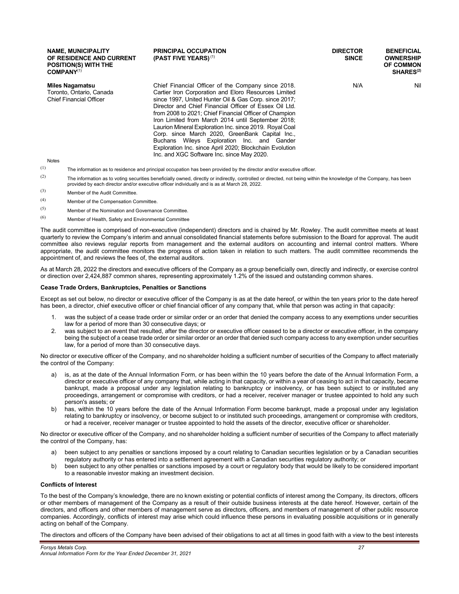| <b>NAME, MUNICIPALITY</b><br>OF RESIDENCE AND CURRENT<br><b>POSITION(S) WITH THE</b><br>COMPANY <sup>(1)</sup> | <b>PRINCIPAL OCCUPATION</b><br>(PAST FIVE YEARS) $(1)$                                                                                                                                                                                                                                                                                                                                                                                                                                                                                                                                                             | <b>DIRECTOR</b><br><b>SINCE</b> | <b>BENEFICIAL</b><br><b>OWNERSHIP</b><br><b>OF COMMON</b><br>SHARES <sup>(2)</sup> |
|----------------------------------------------------------------------------------------------------------------|--------------------------------------------------------------------------------------------------------------------------------------------------------------------------------------------------------------------------------------------------------------------------------------------------------------------------------------------------------------------------------------------------------------------------------------------------------------------------------------------------------------------------------------------------------------------------------------------------------------------|---------------------------------|------------------------------------------------------------------------------------|
| Miles Nagamatsu<br>Toronto, Ontario, Canada<br><b>Chief Financial Officer</b><br><b>Notes</b>                  | Chief Financial Officer of the Company since 2018.<br>Cartier Iron Corporation and Eloro Resources Limited<br>since 1997, United Hunter Oil & Gas Corp. since 2017;<br>Director and Chief Financial Officer of Essex Oil Ltd.<br>from 2008 to 2021; Chief Financial Officer of Champion<br>Iron Limited from March 2014 until September 2018;<br>Laurion Mineral Exploration Inc. since 2019. Royal Coal<br>Corp. since March 2020, GreenBank Capital Inc.,<br>Buchans Wileys Exploration Inc. and Gander<br>Exploration Inc. since April 2020; Blockchain Evolution<br>Inc. and XGC Software Inc. since May 2020. | N/A                             | Nil                                                                                |

 $(1)$  The information as to residence and principal occupation has been provided by the director and/or executive officer.

- $(2)$  The information as to voting securities beneficially owned, directly or indirectly, controlled or directed, not being within the knowledge of the Company, has been provided by each director and/or executive officer individually and is as at March 28, 2022.
- (3) Member of the Audit Committee.
- (4) Member of the Compensation Committee.
- (5) Member of the Nomination and Governance Committee.
- (6) Member of Health, Safety and Environmental Committee

The audit committee is comprised of non-executive (independent) directors and is chaired by Mr. Rowley. The audit committee meets at least quarterly to review the Company's interim and annual consolidated financial statements before submission to the Board for approval. The audit committee also reviews regular reports from management and the external auditors on accounting and internal control matters. Where appropriate, the audit committee monitors the progress of action taken in relation to such matters. The audit committee recommends the appointment of, and reviews the fees of, the external auditors.

As at March 28, 2022 the directors and executive officers of the Company as a group beneficially own, directly and indirectly, or exercise control or direction over 2,424,887 common shares, representing approximately 1.2% of the issued and outstanding common shares.

#### **Cease Trade Orders, Bankruptcies, Penalties or Sanctions**

Except as set out below, no director or executive officer of the Company is as at the date hereof, or within the ten years prior to the date hereof has been, a director, chief executive officer or chief financial officer of any company that, while that person was acting in that capacity:

- 1. was the subject of a cease trade order or similar order or an order that denied the company access to any exemptions under securities law for a period of more than 30 consecutive days; or
- 2. was subject to an event that resulted, after the director or executive officer ceased to be a director or executive officer, in the company being the subject of a cease trade order or similar order or an order that denied such company access to any exemption under securities law, for a period of more than 30 consecutive days.

No director or executive officer of the Company, and no shareholder holding a sufficient number of securities of the Company to affect materially the control of the Company:

- a) is, as at the date of the Annual Information Form, or has been within the 10 years before the date of the Annual Information Form, a director or executive officer of any company that, while acting in that capacity, or within a year of ceasing to act in that capacity, became bankrupt, made a proposal under any legislation relating to bankruptcy or insolvency, or has been subject to or instituted any proceedings, arrangement or compromise with creditors, or had a receiver, receiver manager or trustee appointed to hold any such person's assets; or
- b) has, within the 10 years before the date of the Annual Information Form become bankrupt, made a proposal under any legislation relating to bankruptcy or insolvency, or become subject to or instituted such proceedings, arrangement or compromise with creditors, or had a receiver, receiver manager or trustee appointed to hold the assets of the director, executive officer or shareholder.

No director or executive officer of the Company, and no shareholder holding a sufficient number of securities of the Company to affect materially the control of the Company, has:

- a) been subject to any penalties or sanctions imposed by a court relating to Canadian securities legislation or by a Canadian securities regulatory authority or has entered into a settlement agreement with a Canadian securities regulatory authority; or
- b) been subject to any other penalties or sanctions imposed by a court or regulatory body that would be likely to be considered important to a reasonable investor making an investment decision.

#### **Conflicts of Interest**

To the best of the Company's knowledge, there are no known existing or potential conflicts of interest among the Company, its directors, officers or other members of management of the Company as a result of their outside business interests at the date hereof. However, certain of the directors, and officers and other members of management serve as directors, officers, and members of management of other public resource companies. Accordingly, conflicts of interest may arise which could influence these persons in evaluating possible acquisitions or in generally acting on behalf of the Company.

The directors and officers of the Company have been advised of their obligations to act at all times in good faith with a view to the best interests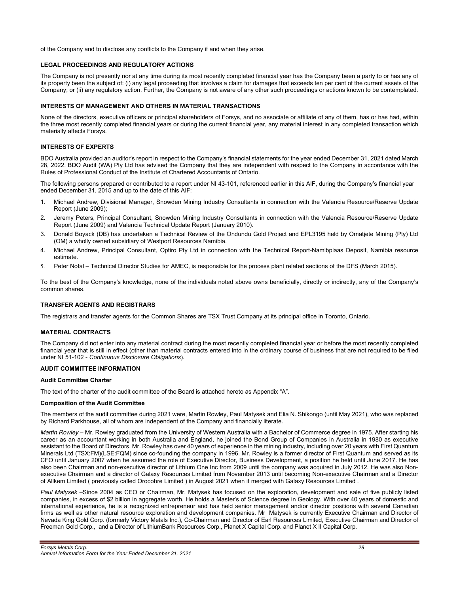of the Company and to disclose any conflicts to the Company if and when they arise.

# **LEGAL PROCEEDINGS AND REGULATORY ACTIONS**

The Company is not presently nor at any time during its most recently completed financial year has the Company been a party to or has any of its property been the subject of: (i) any legal proceeding that involves a claim for damages that exceeds ten per cent of the current assets of the Company; or (ii) any regulatory action. Further, the Company is not aware of any other such proceedings or actions known to be contemplated.

# **INTERESTS OF MANAGEMENT AND OTHERS IN MATERIAL TRANSACTIONS**

None of the directors, executive officers or principal shareholders of Forsys, and no associate or affiliate of any of them, has or has had, within the three most recently completed financial years or during the current financial year, any material interest in any completed transaction which materially affects Forsys.

# **INTERESTS OF EXPERTS**

BDO Australia provided an auditor's report in respect to the Company's financial statements for the year ended December 31, 2021 dated March 28, 2022. BDO Audit (WA) Pty Ltd has advised the Company that they are independent with respect to the Company in accordance with the Rules of Professional Conduct of the Institute of Chartered Accountants of Ontario.

The following persons prepared or contributed to a report under NI 43-101, referenced earlier in this AIF, during the Company's financial year ended December 31, 2015 and up to the date of this AIF:

- 1. Michael Andrew, Divisional Manager, Snowden Mining Industry Consultants in connection with the Valencia Resource/Reserve Update Report (June 2009);
- 2. Jeremy Peters, Principal Consultant, Snowden Mining Industry Consultants in connection with the Valencia Resource/Reserve Update Report (June 2009) and Valencia Technical Update Report (January 2010).
- 3. Donald Boyack (DB) has undertaken a Technical Review of the Ondundu Gold Project and EPL3195 held by Omatjete Mining (Pty) Ltd (OM) a wholly owned subsidiary of Westport Resources Namibia.
- 4. Michael Andrew, Principal Consultant, Optiro Pty Ltd in connection with the Technical Report-Namibplaas Deposit, Namibia resource estimate.
- 5. Peter Nofal Technical Director Studies for AMEC, is responsible for the process plant related sections of the DFS (March 2015).

To the best of the Company's knowledge, none of the individuals noted above owns beneficially, directly or indirectly, any of the Company's common shares.

# **TRANSFER AGENTS AND REGISTRARS**

The registrars and transfer agents for the Common Shares are TSX Trust Company at its principal office in Toronto, Ontario.

# **MATERIAL CONTRACTS**

The Company did not enter into any material contract during the most recently completed financial year or before the most recently completed financial year that is still in effect (other than material contracts entered into in the ordinary course of business that are not required to be filed under NI 51-102 - *Continuous Disclosure Obligations*).

# **AUDIT COMMITTEE INFORMATION**

#### **Audit Committee Charter**

The text of the charter of the audit committee of the Board is attached hereto as Appendix "A".

# **Composition of the Audit Committee**

The members of the audit committee during 2021 were, Martin Rowley, Paul Matysek and Elia N. Shikongo (until May 2021), who was replaced by Richard Parkhouse, all of whom are independent of the Company and financially literate.

*Martin Rowley* – Mr. Rowley graduated from the University of Western Australia with a Bachelor of Commerce degree in 1975. After starting his career as an accountant working in both Australia and England, he joined the Bond Group of Companies in Australia in 1980 as executive assistant to the Board of Directors. Mr. Rowley has over 40 years of experience in the mining industry, including over 20 years with First Quantum Minerals Ltd (TSX:FM)(LSE:FQM) since co-founding the company in 1996. Mr. Rowley is a former director of First Quantum and served as its CFO until January 2007 when he assumed the role of Executive Director, Business Development, a position he held until June 2017. He has also been Chairman and non-executive director of Lithium One Inc from 2009 until the company was acquired in July 2012. He was also Nonexecutive Chairman and a director of Galaxy Resources Limited from November 2013 until becoming Non-executive Chairman and a Director of Allkem Limited ( previously called Orocobre Limited ) in August 2021 when it merged with Galaxy Resources Limited .

*Paul Matysek* –Since 2004 as CEO or Chairman, Mr. Matysek has focused on the exploration, development and sale of five publicly listed companies, in excess of \$2 billion in aggregate worth. He holds a Master's of Science degree in Geology. With over 40 years of domestic and international experience, he is a recognized entrepreneur and has held senior management and/or director positions with several Canadian firms as well as other natural resource exploration and development companies. Mr Matysek is currently Executive Chairman and Director of Nevada King Gold Corp. (formerly Victory Metals Inc.), Co-Chairman and Director of Earl Resources Limited, Executive Chairman and Director of Freeman Gold Corp., and a Director of LithiumBank Resources Corp., Planet X Capital Corp. and Planet X II Capital Corp.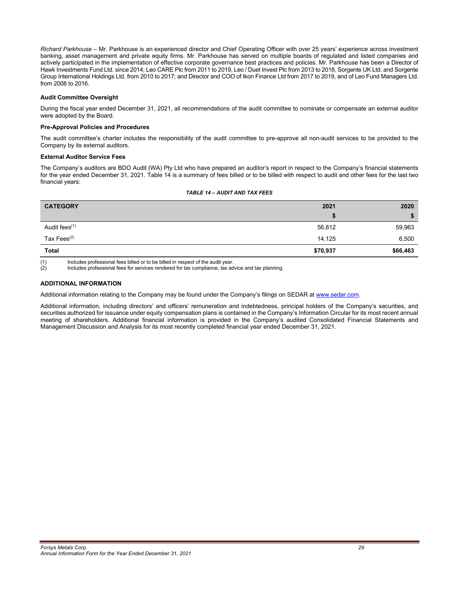*Richard Parkhouse* – Mr. Parkhouse is an experienced director and Chief Operating Officer with over 25 years' experience across investment banking, asset management and private equity firms. Mr. Parkhouse has served on multiple boards of regulated and listed companies and actively participated in the implementation of effective corporate governance best practices and policies. Mr. Parkhouse has been a Director of Hawk Investments Fund Ltd. since 2014; Leo CARE Plc from 2011 to 2019, Leo / Duet Invest Plc from 2013 to 2018, Sorgente UK Ltd. and Sorgente Group International Holdings Ltd. from 2010 to 2017; and Director and COO of Ikon Finance Ltd from 2017 to 2019, and of Leo Fund Managers Ltd. from 2008 to 2016.

# **Audit Committee Oversight**

During the fiscal year ended December 31, 2021, all recommendations of the audit committee to nominate or compensate an external auditor were adopted by the Board.

#### **Pre-Approval Policies and Procedures**

The audit committee's charter includes the responsibility of the audit committee to pre-approve all non-audit services to be provided to the Company by its external auditors.

# **External Auditor Service Fees**

The Company's auditors are BDO Audit (WA) Pty Ltd who have prepared an auditor's report in respect to the Company's financial statements for the year ended December 31, 2021. Table 14 is a summary of fees billed or to be billed with respect to audit and other fees for the last two financial years:

| <b>CATEGORY</b>                                                                                                          | 2021     | 2020     |
|--------------------------------------------------------------------------------------------------------------------------|----------|----------|
|                                                                                                                          | æ        |          |
| Audit fees <sup>(1)</sup>                                                                                                | 56,812   | 59,963   |
| Tax Fees $(2)$                                                                                                           | 14.125   | 6,500    |
| <b>Total</b>                                                                                                             | \$70,937 | \$66,463 |
| (4)<br>the about a complete state of the sea to High and a fact to the state of the season of the season of the complete |          |          |

# *TABLE 14 – AUDIT AND TAX FEES*

(1) Includes professional fees billed or to be billed in respect of the audit year.<br>(2) Includes professional fees for services rendered for tax compliance, tax ac

Includes professional fees for services rendered for tax compliance, tax advice and tax planning.

# **ADDITIONAL INFORMATION**

Additional information relating to the Company may be found under the Company's filings on SEDAR at www.sedar.com.

Additional information, including directors' and officers' remuneration and indebtedness, principal holders of the Company's securities, and securities authorized for issuance under equity compensation plans is contained in the Company's Information Circular for its most recent annual meeting of shareholders. Additional financial information is provided in the Company's audited Consolidated Financial Statements and Management Discussion and Analysis for its most recently completed financial year ended December 31, 2021.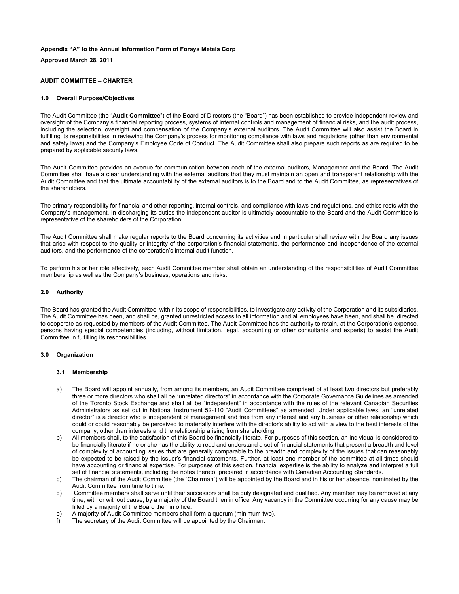# **Appendix "A" to the Annual Information Form of Forsys Metals Corp**

**Approved March 28, 2011** 

# **AUDIT COMMITTEE – CHARTER**

# **1.0 Overall Purpose/Objectives**

The Audit Committee (the "**Audit Committee**") of the Board of Directors (the "Board") has been established to provide independent review and oversight of the Company's financial reporting process, systems of internal controls and management of financial risks, and the audit process, including the selection, oversight and compensation of the Company's external auditors. The Audit Committee will also assist the Board in fulfilling its responsibilities in reviewing the Company's process for monitoring compliance with laws and regulations (other than environmental and safety laws) and the Company's Employee Code of Conduct. The Audit Committee shall also prepare such reports as are required to be prepared by applicable security laws.

The Audit Committee provides an avenue for communication between each of the external auditors, Management and the Board. The Audit Committee shall have a clear understanding with the external auditors that they must maintain an open and transparent relationship with the Audit Committee and that the ultimate accountability of the external auditors is to the Board and to the Audit Committee, as representatives of the shareholders.

The primary responsibility for financial and other reporting, internal controls, and compliance with laws and regulations, and ethics rests with the Company's management. In discharging its duties the independent auditor is ultimately accountable to the Board and the Audit Committee is representative of the shareholders of the Corporation.

The Audit Committee shall make regular reports to the Board concerning its activities and in particular shall review with the Board any issues that arise with respect to the quality or integrity of the corporation's financial statements, the performance and independence of the external auditors, and the performance of the corporation's internal audit function.

To perform his or her role effectively, each Audit Committee member shall obtain an understanding of the responsibilities of Audit Committee membership as well as the Company's business, operations and risks.

# **2.0 Authority**

The Board has granted the Audit Committee, within its scope of responsibilities, to investigate any activity of the Corporation and its subsidiaries. The Audit Committee has been, and shall be, granted unrestricted access to all information and all employees have been, and shall be, directed to cooperate as requested by members of the Audit Committee. The Audit Committee has the authority to retain, at the Corporation's expense, persons having special competencies (including, without limitation, legal, accounting or other consultants and experts) to assist the Audit Committee in fulfilling its responsibilities.

# **3.0 Organization**

#### **3.1 Membership**

- a) The Board will appoint annually, from among its members, an Audit Committee comprised of at least two directors but preferably three or more directors who shall all be "unrelated directors" in accordance with the Corporate Governance Guidelines as amended of the Toronto Stock Exchange and shall all be "independent" in accordance with the rules of the relevant Canadian Securities Administrators as set out in National Instrument 52-110 "Audit Committees" as amended. Under applicable laws, an "unrelated director" is a director who is independent of management and free from any interest and any business or other relationship which could or could reasonably be perceived to materially interfere with the director's ability to act with a view to the best interests of the company, other than interests and the relationship arising from shareholding.
- b) All members shall, to the satisfaction of this Board be financially literate. For purposes of this section, an individual is considered to be financially literate if he or she has the ability to read and understand a set of financial statements that present a breadth and level of complexity of accounting issues that are generally comparable to the breadth and complexity of the issues that can reasonably be expected to be raised by the issuer's financial statements. Further, at least one member of the committee at all times should have accounting or financial expertise. For purposes of this section, financial expertise is the ability to analyze and interpret a full set of financial statements, including the notes thereto, prepared in accordance with Canadian Accounting Standards.
- c) The chairman of the Audit Committee (the "Chairman") will be appointed by the Board and in his or her absence, nominated by the Audit Committee from time to time.
- d) Committee members shall serve until their successors shall be duly designated and qualified. Any member may be removed at any time, with or without cause, by a majority of the Board then in office. Any vacancy in the Committee occurring for any cause may be filled by a majority of the Board then in office.
- e) A majority of Audit Committee members shall form a quorum (minimum two).
- f) The secretary of the Audit Committee will be appointed by the Chairman.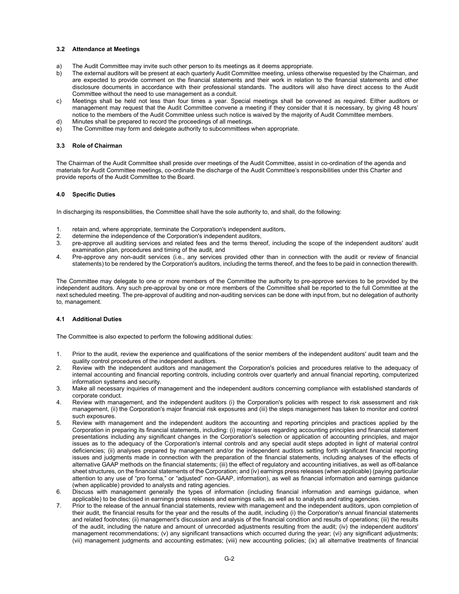# **3.2 Attendance at Meetings**

- a) The Audit Committee may invite such other person to its meetings as it deems appropriate.<br>b) The external auditors will be present at each quarterly Audit Committee meeting unless oth
- The external auditors will be present at each quarterly Audit Committee meeting, unless otherwise requested by the Chairman, and are expected to provide comment on the financial statements and their work in relation to the financial statements and other disclosure documents in accordance with their professional standards. The auditors will also have direct access to the Audit Committee without the need to use management as a conduit.
- c) Meetings shall be held not less than four times a year. Special meetings shall be convened as required. Either auditors or management may request that the Audit Committee convene a meeting if they consider that it is necessary, by giving 48 hours' notice to the members of the Audit Committee unless such notice is waived by the majority of Audit Committee members.
- d) Minutes shall be prepared to record the proceedings of all meetings.
- e) The Committee may form and delegate authority to subcommittees when appropriate.

# **3.3 Role of Chairman**

The Chairman of the Audit Committee shall preside over meetings of the Audit Committee, assist in co-ordination of the agenda and materials for Audit Committee meetings, co-ordinate the discharge of the Audit Committee's responsibilities under this Charter and provide reports of the Audit Committee to the Board.

# **4.0 Specific Duties**

In discharging its responsibilities, the Committee shall have the sole authority to, and shall, do the following:

- 1. retain and, where appropriate, terminate the Corporation's independent auditors,
- 2. determine the independence of the Corporation's independent auditors,
- 3. pre-approve all auditing services and related fees and the terms thereof, including the scope of the independent auditors' audit examination plan, procedures and timing of the audit, and
- 4. Pre-approve any non-audit services (i.e., any services provided other than in connection with the audit or review of financial statements) to be rendered by the Corporation's auditors, including the terms thereof, and the fees to be paid in connection therewith.

The Committee may delegate to one or more members of the Committee the authority to pre-approve services to be provided by the independent auditors. Any such pre-approval by one or more members of the Committee shall be reported to the full Committee at the next scheduled meeting. The pre-approval of auditing and non-auditing services can be done with input from, but no delegation of authority to, management.

# **4.1 Additional Duties**

The Committee is also expected to perform the following additional duties:

- 1. Prior to the audit, review the experience and qualifications of the senior members of the independent auditors' audit team and the quality control procedures of the independent auditors.
- 2. Review with the independent auditors and management the Corporation's policies and procedures relative to the adequacy of internal accounting and financial reporting controls, including controls over quarterly and annual financial reporting, computerized information systems and security.
- 3. Make all necessary inquiries of management and the independent auditors concerning compliance with established standards of corporate conduct.
- 4. Review with management, and the independent auditors (i) the Corporation's policies with respect to risk assessment and risk management, (ii) the Corporation's major financial risk exposures and (iii) the steps management has taken to monitor and control such exposures.
- 5. Review with management and the independent auditors the accounting and reporting principles and practices applied by the Corporation in preparing its financial statements, including: (i) major issues regarding accounting principles and financial statement presentations including any significant changes in the Corporation's selection or application of accounting principles, and major issues as to the adequacy of the Corporation's internal controls and any special audit steps adopted in light of material control deficiencies; (ii) analyses prepared by management and/or the independent auditors setting forth significant financial reporting issues and judgments made in connection with the preparation of the financial statements, including analyses of the effects of alternative GAAP methods on the financial statements; (iii) the effect of regulatory and accounting initiatives, as well as off-balance sheet structures, on the financial statements of the Corporation; and (iv) earnings press releases (when applicable) (paying particular attention to any use of "pro forma," or "adjusted" non-GAAP, information), as well as financial information and earnings guidance (when applicable) provided to analysts and rating agencies.
- 6. Discuss with management generally the types of information (including financial information and earnings guidance, when applicable) to be disclosed in earnings press releases and earnings calls, as well as to analysts and rating agencies.
- 7. Prior to the release of the annual financial statements, review with management and the independent auditors, upon completion of their audit, the financial results for the year and the results of the audit, including (i) the Corporation's annual financial statements and related footnotes; (ii) management's discussion and analysis of the financial condition and results of operations; (iii) the results of the audit, including the nature and amount of unrecorded adjustments resulting from the audit; (iv) the independent auditors' management recommendations; (v) any significant transactions which occurred during the year; (vi) any significant adjustments; (vii) management judgments and accounting estimates; (viii) new accounting policies; (ix) all alternative treatments of financial